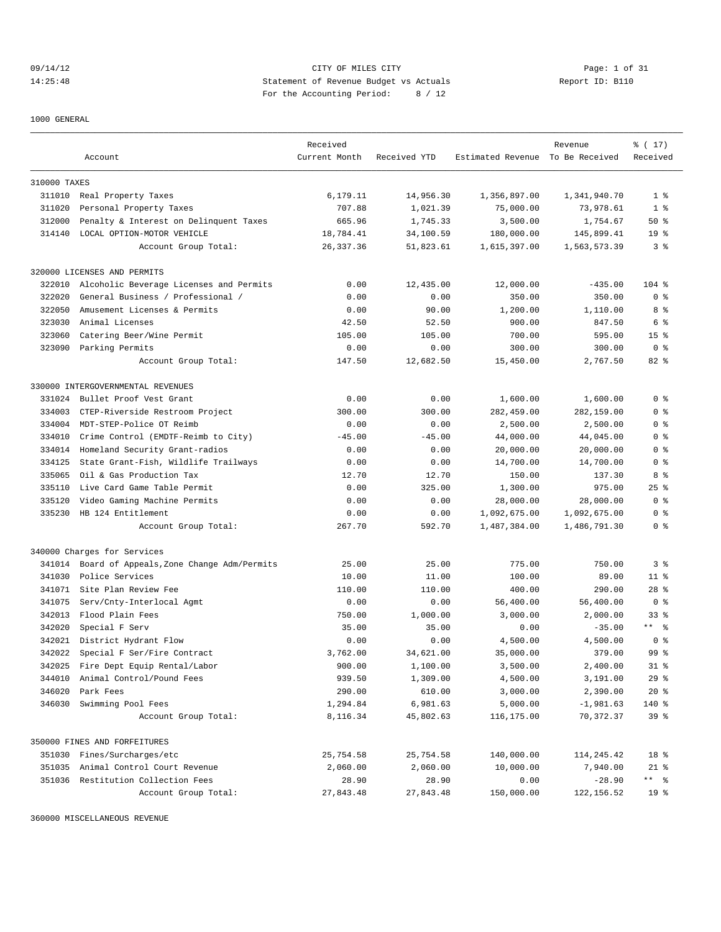#### 09/14/12 Page: 1 of 31 14:25:48 Statement of Revenue Budget vs Actuals Report ID: B110 For the Accounting Period: 8 / 12

1000 GENERAL

|              |                                           | Received      |              |                                  | Revenue      | % (17)          |
|--------------|-------------------------------------------|---------------|--------------|----------------------------------|--------------|-----------------|
|              | Account                                   | Current Month | Received YTD | Estimated Revenue To Be Received |              | Received        |
| 310000 TAXES |                                           |               |              |                                  |              |                 |
|              | 311010 Real Property Taxes                | 6.179.11      | 14,956.30    | 1,356,897.00                     | 1,341,940.70 | 1 <sup>8</sup>  |
| 311020       | Personal Property Taxes                   | 707.88        | 1,021.39     | 75,000.00                        | 73,978.61    | 1 <sup>8</sup>  |
| 312000       | Penalty & Interest on Delinquent Taxes    | 665.96        | 1,745.33     | 3,500.00                         | 1,754.67     | 50%             |
|              | 314140 LOCAL OPTION-MOTOR VEHICLE         | 18,784.41     | 34,100.59    | 180,000.00                       | 145,899.41   | 19 <sup>°</sup> |
|              | Account Group Total:                      | 26, 337.36    | 51,823.61    | 1,615,397.00                     | 1,563,573.39 | 3%              |
|              | 320000 LICENSES AND PERMITS               |               |              |                                  |              |                 |
| 322010       | Alcoholic Beverage Licenses and Permits   | 0.00          | 12,435.00    | 12,000.00                        | $-435.00$    | $104$ %         |
| 322020       | General Business / Professional /         | 0.00          | 0.00         | 350.00                           | 350.00       | 0 <sup>8</sup>  |
| 322050       | Amusement Licenses & Permits              | 0.00          | 90.00        | 1,200.00                         | 1,110.00     | 8 %             |
| 323030       | Animal Licenses                           | 42.50         | 52.50        | 900.00                           | 847.50       | 6 %             |
| 323060       | Catering Beer/Wine Permit                 | 105.00        | 105.00       | 700.00                           | 595.00       | 15 <sup>8</sup> |
|              | 323090 Parking Permits                    | 0.00          | 0.00         | 300.00                           | 300.00       | 0 <sup>8</sup>  |
|              | Account Group Total:                      | 147.50        | 12,682.50    | 15,450.00                        | 2,767.50     | 82 %            |
|              | 330000 INTERGOVERNMENTAL REVENUES         |               |              |                                  |              |                 |
| 331024       | Bullet Proof Vest Grant                   | 0.00          | 0.00         | 1,600.00                         | 1,600.00     | 0 <sup>8</sup>  |
| 334003       | CTEP-Riverside Restroom Project           | 300.00        | 300.00       | 282,459.00                       | 282,159.00   | 0 <sup>8</sup>  |
| 334004       | MDT-STEP-Police OT Reimb                  | 0.00          | 0.00         | 2,500.00                         | 2,500.00     | 0 <sup>8</sup>  |
| 334010       | Crime Control (EMDTF-Reimb to City)       | $-45.00$      | $-45.00$     | 44,000.00                        | 44,045.00    | 0 <sup>8</sup>  |
| 334014       | Homeland Security Grant-radios            | 0.00          | 0.00         | 20,000.00                        | 20,000.00    | 0 <sup>8</sup>  |
| 334125       | State Grant-Fish, Wildlife Trailways      | 0.00          | 0.00         | 14,700.00                        | 14,700.00    | 0 <sup>8</sup>  |
| 335065       | Oil & Gas Production Tax                  | 12.70         | 12.70        | 150.00                           | 137.30       | 8 %             |
| 335110       | Live Card Game Table Permit               | 0.00          | 325.00       |                                  | 975.00       | $25$ %          |
|              |                                           |               |              | 1,300.00                         |              |                 |
| 335120       | Video Gaming Machine Permits              | 0.00          | 0.00         | 28,000.00                        | 28,000.00    | 0 <sup>8</sup>  |
|              | 335230 HB 124 Entitlement                 | 0.00          | 0.00         | 1,092,675.00                     | 1,092,675.00 | 0 <sup>8</sup>  |
|              | Account Group Total:                      | 267.70        | 592.70       | 1,487,384.00                     | 1,486,791.30 | 0 <sup>8</sup>  |
|              | 340000 Charges for Services               |               |              |                                  |              |                 |
| 341014       | Board of Appeals, Zone Change Adm/Permits | 25.00         | 25.00        | 775.00                           | 750.00       | 3%              |
| 341030       | Police Services                           | 10.00         | 11.00        | 100.00                           | 89.00        | $11$ %          |
| 341071       | Site Plan Review Fee                      | 110.00        | 110.00       | 400.00                           | 290.00       | $28$ %          |
| 341075       | Serv/Cnty-Interlocal Agmt                 | 0.00          | 0.00         | 56,400.00                        | 56,400.00    | 0 <sup>8</sup>  |
|              | 342013 Flood Plain Fees                   | 750.00        | 1,000.00     | 3,000.00                         | 2,000.00     | $33$ $%$        |
| 342020       | Special F Serv                            | 35.00         | 35.00        | 0.00                             | $-35.00$     | $***$ $ -$      |
|              | 342021 District Hydrant Flow              | 0.00          | 0.00         | 4,500.00                         | 4,500.00     | 0 <sup>8</sup>  |
| 342022       | Special F Ser/Fire Contract               | 3,762.00      | 34,621.00    | 35,000.00                        | 379.00       | 99 <sup>8</sup> |
|              | 342025 Fire Dept Equip Rental/Labor       | 900.00        | 1,100.00     | 3,500.00                         | 2,400.00     | $31$ %          |
| 344010       | Animal Control/Pound Fees                 | 939.50        | 1,309.00     | 4,500.00                         | 3,191.00     | 29%             |
| 346020       | Park Fees                                 | 290.00        | 610.00       | 3,000.00                         | 2,390.00     | $20*$           |
|              | 346030 Swimming Pool Fees                 | 1,294.84      | 6,981.63     | 5,000.00                         | $-1,981.63$  | 140 %           |
|              | Account Group Total:                      | 8,116.34      | 45,802.63    | 116,175.00                       | 70,372.37    | 39 %            |
|              | 350000 FINES AND FORFEITURES              |               |              |                                  |              |                 |
|              | 351030 Fines/Surcharges/etc               | 25,754.58     | 25,754.58    | 140,000.00                       | 114, 245.42  | 18 %            |
|              | 351035 Animal Control Court Revenue       | 2,060.00      | 2,060.00     | 10,000.00                        | 7,940.00     | $21$ %          |
|              | 351036 Restitution Collection Fees        | 28.90         | 28.90        | 0.00                             | $-28.90$     |                 |
|              | Account Group Total:                      | 27,843.48     | 27,843.48    | 150,000.00                       | 122, 156.52  | 19 <sup>°</sup> |

360000 MISCELLANEOUS REVENUE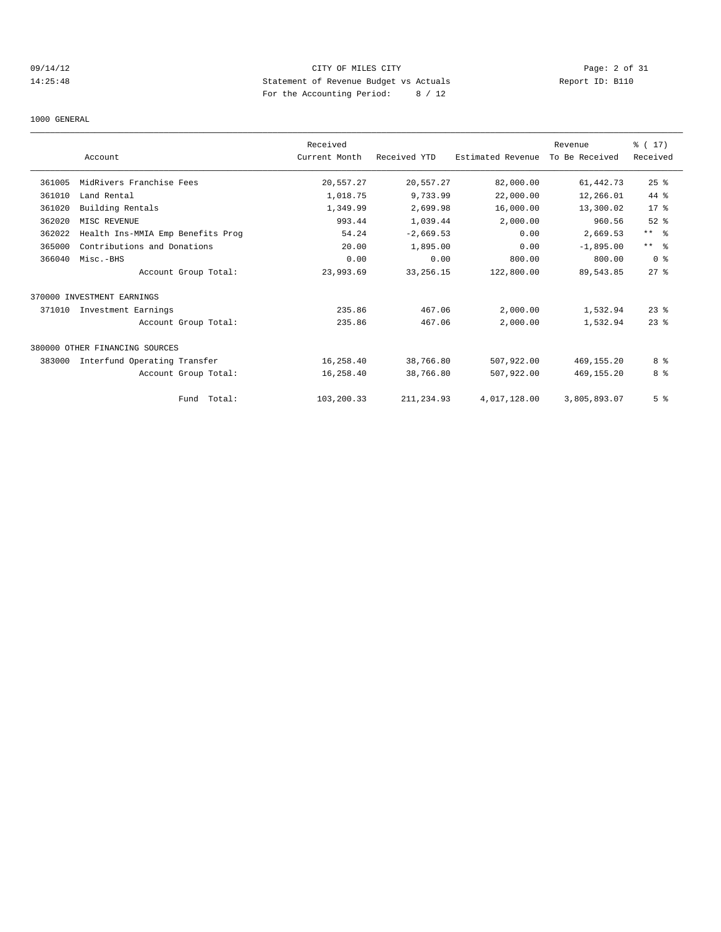# 09/14/12 Page: 2 of 31 14:25:48 Statement of Revenue Budget vs Actuals Report ID: B110 For the Accounting Period: 8 / 12

1000 GENERAL

|        |                                   | Received      |              |                   | Revenue        | % (17)          |
|--------|-----------------------------------|---------------|--------------|-------------------|----------------|-----------------|
|        | Account                           | Current Month | Received YTD | Estimated Revenue | To Be Received | Received        |
| 361005 | MidRivers Franchise Fees          | 20,557.27     | 20,557.27    | 82,000.00         | 61, 442. 73    | 25%             |
| 361010 | Land Rental                       | 1,018.75      | 9,733.99     | 22,000.00         | 12,266.01      | 44 %            |
| 361020 | Building Rentals                  | 1,349.99      | 2,699.98     | 16,000.00         | 13,300.02      | $17*$           |
| 362020 | MISC REVENUE                      | 993.44        | 1,039.44     | 2,000.00          | 960.56         | $52$ $%$        |
| 362022 | Health Ins-MMIA Emp Benefits Prog | 54.24         | $-2,669.53$  | 0.00              | 2,669.53       | $***$ $ -$      |
| 365000 | Contributions and Donations       | 20.00         | 1,895.00     | 0.00              | $-1,895.00$    | $***$ $\approx$ |
| 366040 | Misc.-BHS                         | 0.00          | 0.00         | 800.00            | 800.00         | 0 <sup>8</sup>  |
|        | Account Group Total:              | 23,993.69     | 33, 256. 15  | 122,800.00        | 89,543.85      | 27%             |
|        | 370000 INVESTMENT EARNINGS        |               |              |                   |                |                 |
| 371010 | Investment Earnings               | 235.86        | 467.06       | 2,000.00          | 1,532.94       | $23$ $%$        |
|        | Account Group Total:              | 235.86        | 467.06       | 2,000.00          | 1,532.94       | 23%             |
|        | 380000 OTHER FINANCING SOURCES    |               |              |                   |                |                 |
| 383000 | Interfund Operating Transfer      | 16,258.40     | 38,766.80    | 507,922.00        | 469, 155.20    | 8 %             |
|        | Account Group Total:              | 16,258.40     | 38,766.80    | 507,922.00        | 469, 155.20    | 8 %             |
|        | Total:<br>Fund                    | 103,200.33    | 211,234.93   | 4,017,128.00      | 3,805,893.07   | 5 <sup>8</sup>  |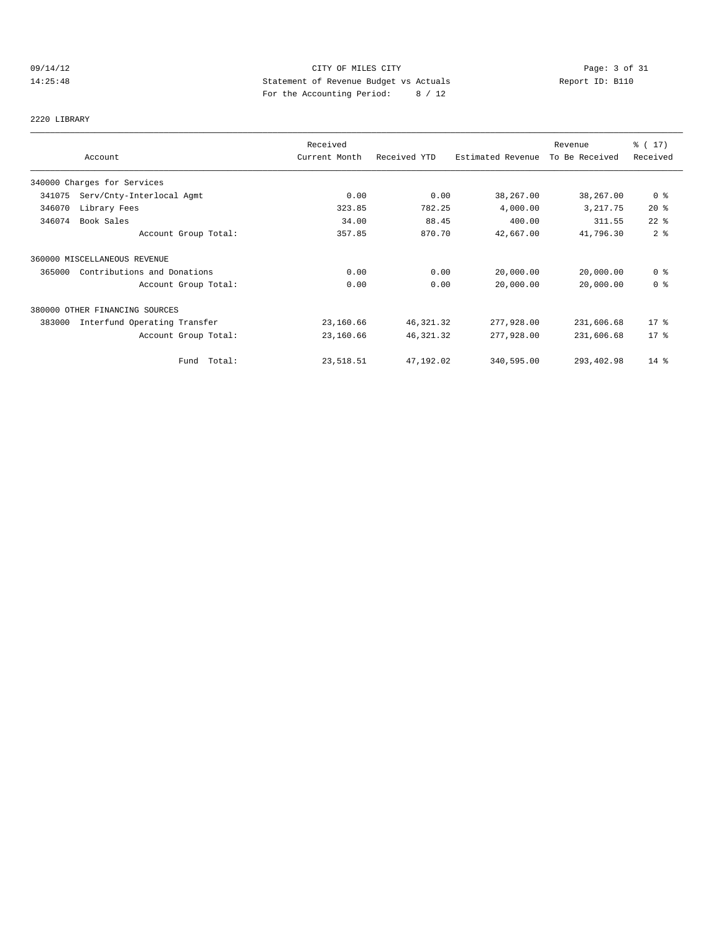# 09/14/12 CITY OF MILES CITY Page: 3 of 31<br>14:25:48 Statement of Revenue Budget vs Actuals Report ID: B110<br>2.12 Page: Alexandrian Page: 10, 11 14:25:48 Statement of Revenue Budget vs Actuals Report ID: B110 For the Accounting Period: 8 / 12

#### 2220 LIBRARY

|        |                                | Received      |              |                   | Revenue        | % (17)         |
|--------|--------------------------------|---------------|--------------|-------------------|----------------|----------------|
|        | Account                        | Current Month | Received YTD | Estimated Revenue | To Be Received | Received       |
|        | 340000 Charges for Services    |               |              |                   |                |                |
| 341075 | Serv/Cnty-Interlocal Agmt      | 0.00          | 0.00         | 38,267.00         | 38,267.00      | 0 <sup>8</sup> |
| 346070 | Library Fees                   | 323.85        | 782.25       | 4,000.00          | 3,217.75       | $20*$          |
| 346074 | Book Sales                     | 34.00         | 88.45        | 400.00            | 311.55         | $22$ $%$       |
|        | Account Group Total:           | 357.85        | 870.70       | 42,667.00         | 41,796.30      | 2 <sup>°</sup> |
|        | 360000 MISCELLANEOUS REVENUE   |               |              |                   |                |                |
| 365000 | Contributions and Donations    | 0.00          | 0.00         | 20,000.00         | 20,000.00      | 0 <sup>8</sup> |
|        | Account Group Total:           | 0.00          | 0.00         | 20,000.00         | 20,000.00      | 0 <sup>8</sup> |
|        | 380000 OTHER FINANCING SOURCES |               |              |                   |                |                |
| 383000 | Interfund Operating Transfer   | 23,160.66     | 46, 321.32   | 277,928.00        | 231,606.68     | $17$ %         |
|        | Account Group Total:           | 23,160.66     | 46, 321.32   | 277,928.00        | 231,606.68     | $17$ %         |
|        | Fund Total:                    | 23,518.51     | 47,192.02    | 340,595.00        | 293,402.98     | $14$ %         |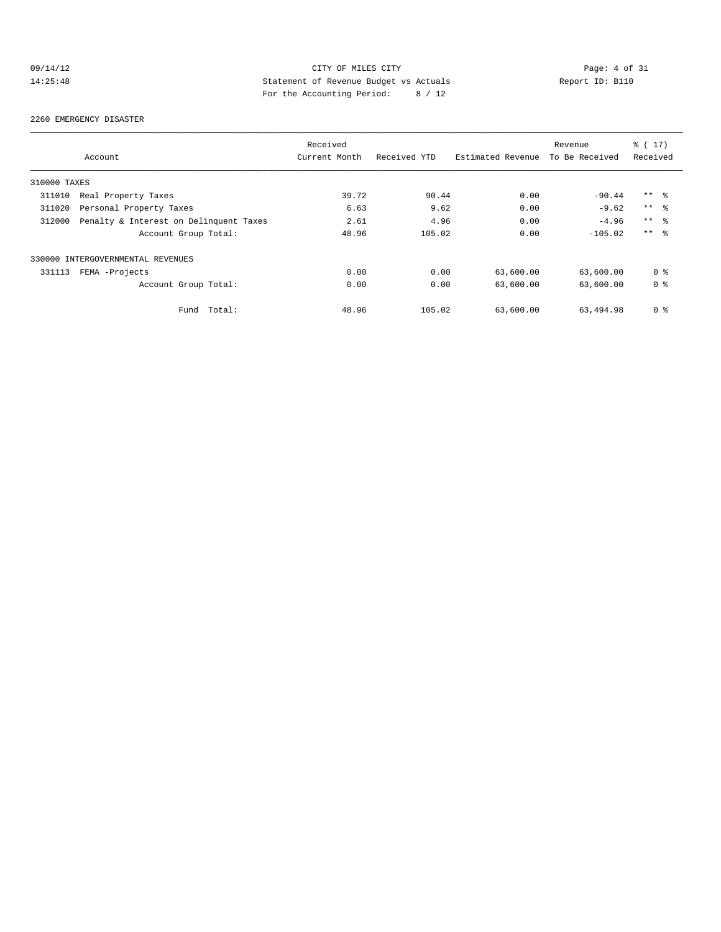# 09/14/12 CITY OF MILES CITY Page: 4 of 31<br>14:25:48 Statement of Revenue Budget vs Actuals Report ID: B110<br>2.12 Page: the Accumulation Period: 2012 14:25:48 Statement of Revenue Budget vs Actuals Report ID: B110 For the Accounting Period: 8 / 12

#### 2260 EMERGENCY DISASTER

|              |                                        | Received      |              |                   | Revenue        | $\frac{1}{6}$ (17) |
|--------------|----------------------------------------|---------------|--------------|-------------------|----------------|--------------------|
|              | Account                                | Current Month | Received YTD | Estimated Revenue | To Be Received | Received           |
| 310000 TAXES |                                        |               |              |                   |                |                    |
| 311010       | Real Property Taxes                    | 39.72         | 90.44        | 0.00              | $-90.44$       | $***$ %            |
| 311020       | Personal Property Taxes                | 6.63          | 9.62         | 0.00              | $-9.62$        | $***$ $\approx$    |
| 312000       | Penalty & Interest on Delinquent Taxes | 2.61          | 4.96         | 0.00              | $-4.96$        | $***$ %            |
|              | Account Group Total:                   | 48.96         | 105.02       | 0.00              | $-105.02$      | $***$ $\approx$    |
|              | 330000 INTERGOVERNMENTAL REVENUES      |               |              |                   |                |                    |
| 331113       | FEMA -Projects                         | 0.00          | 0.00         | 63,600.00         | 63,600.00      | 0 <sup>8</sup>     |
|              | Account Group Total:                   | 0.00          | 0.00         | 63,600.00         | 63,600.00      | 0 <sup>8</sup>     |
|              | Total:<br>Fund                         | 48.96         | 105.02       | 63,600.00         | 63,494.98      | 0 <sup>8</sup>     |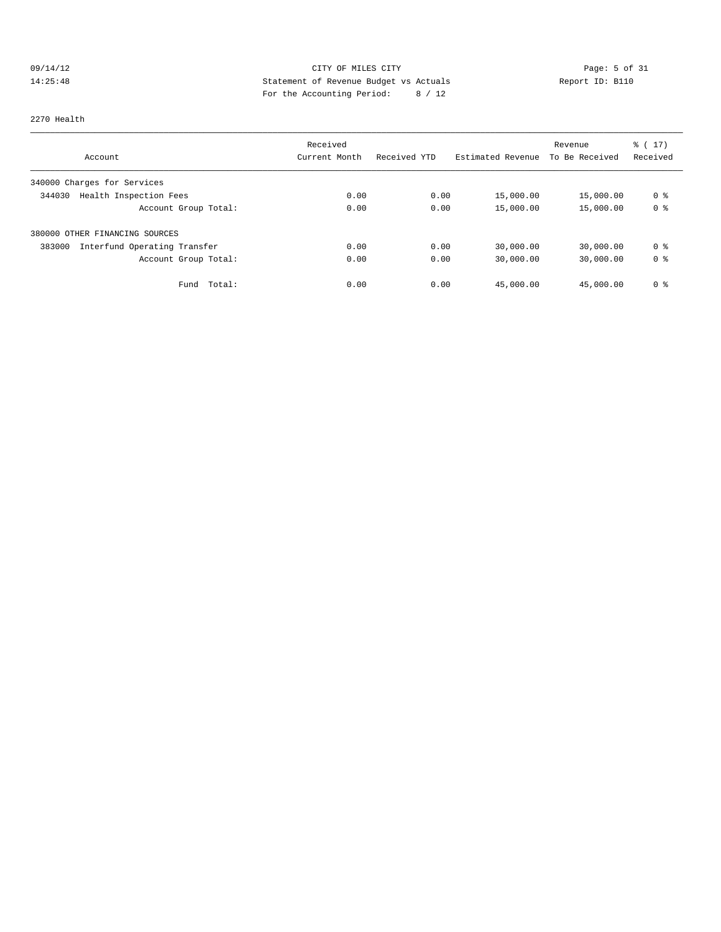# 09/14/12 Page: 5 of 31 14:25:48 Statement of Revenue Budget vs Actuals Report ID: B110<br>Report ID: B110 For the Accounting Period: 8 / 12

#### 2270 Health

|                                        | Received      |              |                   | Revenue        | $\frac{1}{6}$ (17) |
|----------------------------------------|---------------|--------------|-------------------|----------------|--------------------|
| Account                                | Current Month | Received YTD | Estimated Revenue | To Be Received | Received           |
| 340000 Charges for Services            |               |              |                   |                |                    |
| Health Inspection Fees<br>344030       | 0.00          | 0.00         | 15,000.00         | 15,000.00      | 0 <sup>8</sup>     |
| Account Group Total:                   | 0.00          | 0.00         | 15,000.00         | 15,000.00      | 0 <sup>8</sup>     |
| 380000 OTHER FINANCING SOURCES         |               |              |                   |                |                    |
| 383000<br>Interfund Operating Transfer | 0.00          | 0.00         | 30,000.00         | 30,000.00      | 0 %                |
| Account Group Total:                   | 0.00          | 0.00         | 30,000.00         | 30,000.00      | 0 <sup>8</sup>     |
| Total:<br>Fund                         | 0.00          | 0.00         | 45,000.00         | 45,000.00      | 0 <sup>8</sup>     |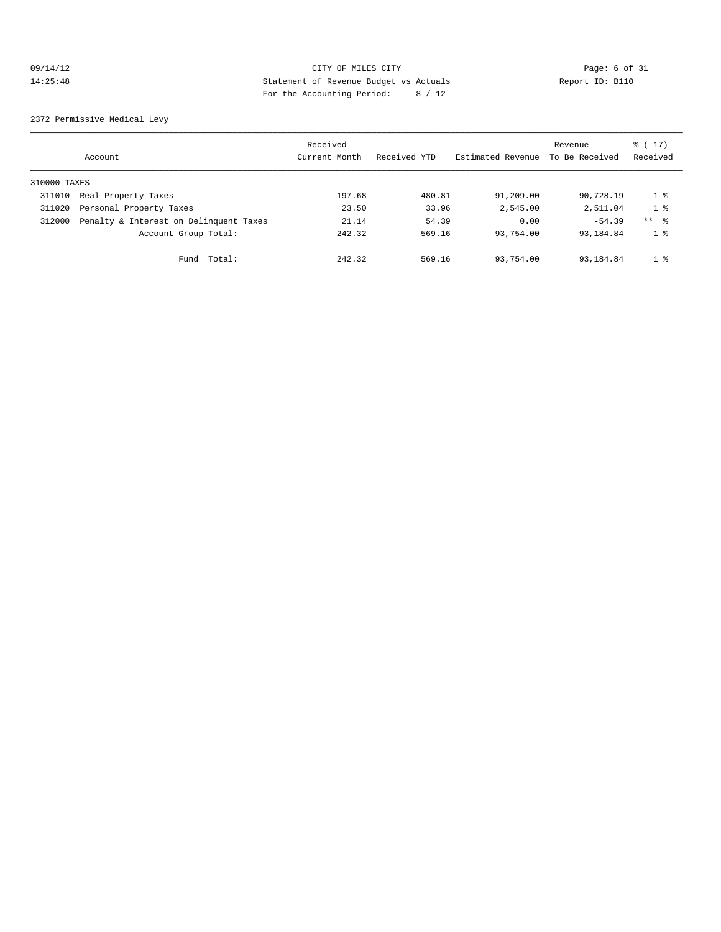# 09/14/12 CITY OF MILES CITY Page: 6 of 31<br>14:25:48 Statement of Revenue Budget vs Actuals Report ID: B110<br>Por the Assemnting Dovial: 2012 14:25:48 Statement of Revenue Budget vs Actuals Report ID: B110 For the Accounting Period: 8 / 12

2372 Permissive Medical Levy

|              | Account                                | Received<br>Current Month | Received YTD | Estimated Revenue | Revenue<br>To Be Received | % (17)<br>Received |
|--------------|----------------------------------------|---------------------------|--------------|-------------------|---------------------------|--------------------|
| 310000 TAXES |                                        |                           |              |                   |                           |                    |
| 311010       | Real Property Taxes                    | 197.68                    | 480.81       | 91,209.00         | 90,728.19                 | 1 %                |
| 311020       | Personal Property Taxes                | 23.50                     | 33.96        | 2,545.00          | 2,511.04                  | 1 <sup>8</sup>     |
| 312000       | Penalty & Interest on Delinquent Taxes | 21.14                     | 54.39        | 0.00              | $-54.39$                  | $***$ 8            |
|              | Account Group Total:                   | 242.32                    | 569.16       | 93,754.00         | 93,184.84                 | 1 <sup>8</sup>     |
|              | Total:<br>Fund                         | 242.32                    | 569.16       | 93,754.00         | 93,184.84                 | 1 <sup>8</sup>     |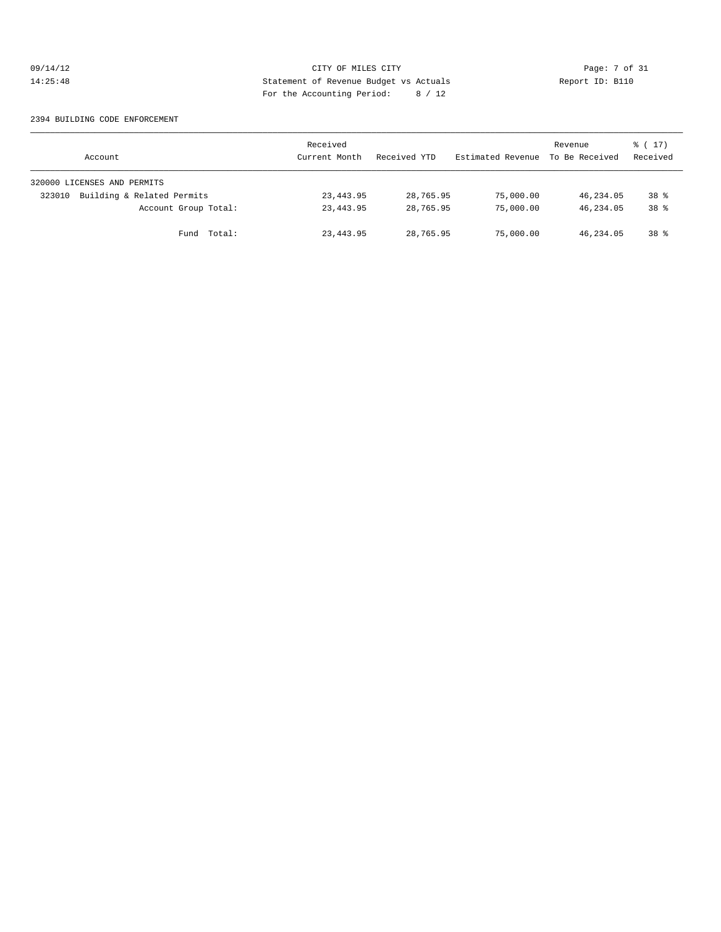# 09/14/12 CITY OF MILES CITY Page: 7 of 31<br>14:25:48 Statement of Revenue Budget vs Actuals Report ID: B110<br>Pos the Accumular Device: 2016, 2016 14:25:48 Statement of Revenue Budget vs Actuals Report ID: B110 For the Accounting Period: 8 / 12

#### 2394 BUILDING CODE ENFORCEMENT

| Account                              | Received<br>Current Month | Received YTD | Estimated Revenue | Revenue<br>To Be Received | $\frac{1}{6}$ (17)<br>Received |
|--------------------------------------|---------------------------|--------------|-------------------|---------------------------|--------------------------------|
| 320000 LICENSES AND PERMITS          |                           |              |                   |                           |                                |
| Building & Related Permits<br>323010 | 23, 443.95                | 28,765.95    | 75,000.00         | 46,234.05                 | 38 %                           |
| Account Group Total:                 | 23, 443.95                | 28,765.95    | 75,000.00         | 46,234.05                 | 38 %                           |
| Fund Total:                          | 23,443.95                 | 28,765.95    | 75,000.00         | 46,234.05                 | 38 %                           |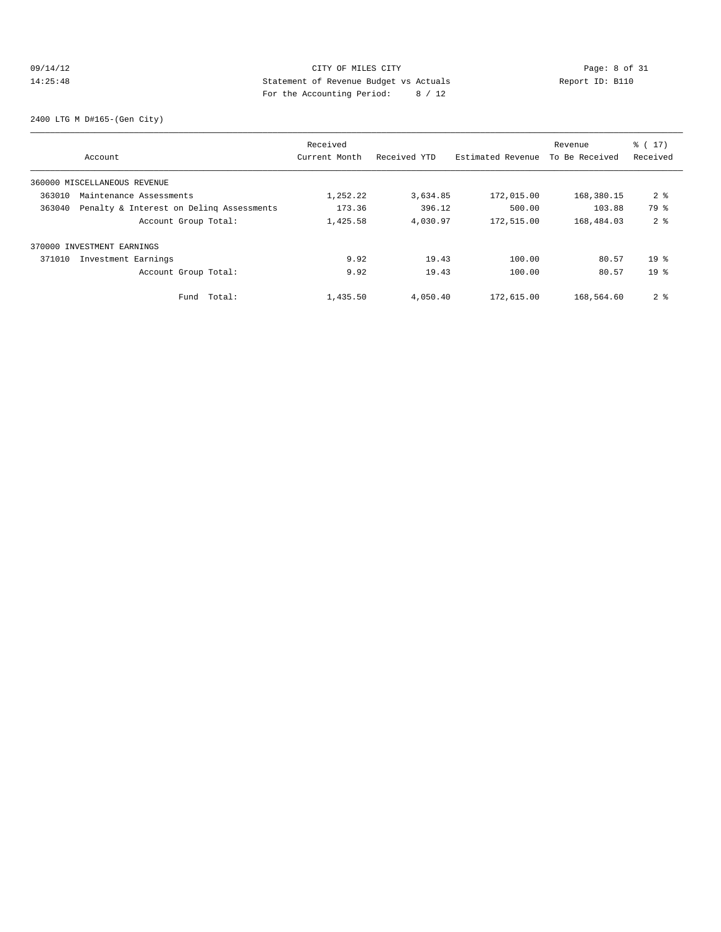# 09/14/12 CITY OF MILES CITY Page: 8 of 31<br>14:25:48 Statement of Revenue Budget vs Actuals Report ID: B110<br>14:25:48 Page: A continue Page: A continue Page: A continue Page: 8 of 31 14:25:48 Statement of Revenue Budget vs Actuals Report ID: B110 For the Accounting Period: 8 / 12

2400 LTG M D#165-(Gen City)

|        |                                          | Received      |              |                   | Revenue        | % (17)          |
|--------|------------------------------------------|---------------|--------------|-------------------|----------------|-----------------|
|        | Account                                  | Current Month | Received YTD | Estimated Revenue | To Be Received | Received        |
|        | 360000 MISCELLANEOUS REVENUE             |               |              |                   |                |                 |
| 363010 | Maintenance Assessments                  | 1,252.22      | 3,634.85     | 172,015.00        | 168,380.15     | 2 <sub>8</sub>  |
| 363040 | Penalty & Interest on Deling Assessments | 173.36        | 396.12       | 500.00            | 103.88         | 79 %            |
|        | Account Group Total:                     | 1,425.58      | 4,030.97     | 172,515.00        | 168,484.03     | 2 <sup>8</sup>  |
|        | 370000 INVESTMENT EARNINGS               |               |              |                   |                |                 |
| 371010 | Investment Earnings                      | 9.92          | 19.43        | 100.00            | 80.57          | 19 <sup>°</sup> |
|        | Account Group Total:                     | 9.92          | 19.43        | 100.00            | 80.57          | 19 <sup>°</sup> |
|        | Total:<br>Fund                           | 1,435.50      | 4,050.40     | 172,615.00        | 168,564.60     | 2 <sup>8</sup>  |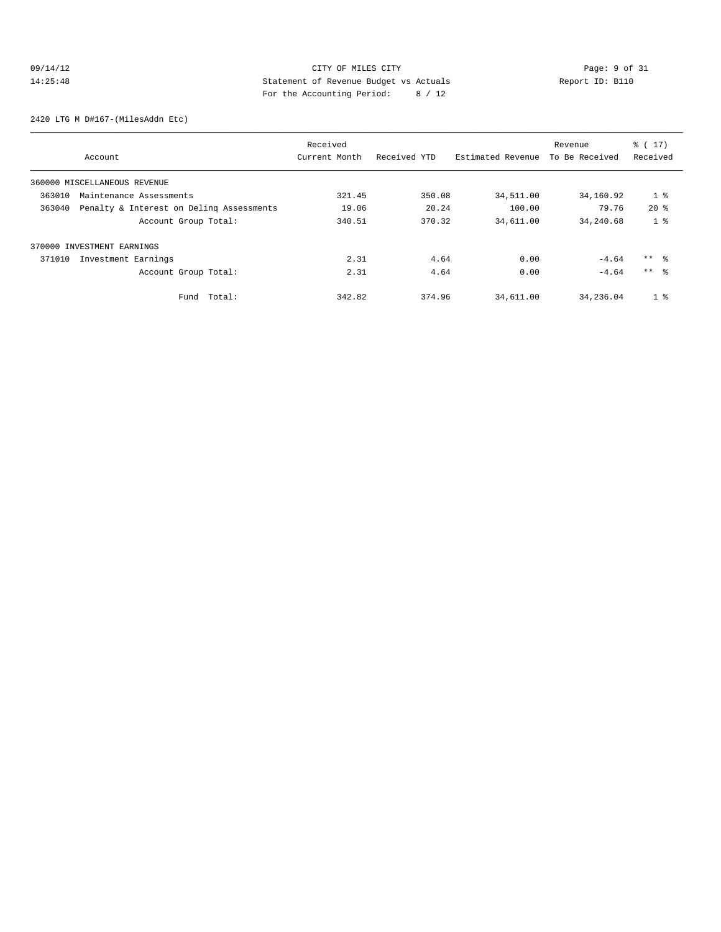# 09/14/12 Page: 9 of 31 14:25:48 Statement of Revenue Budget vs Actuals Report ID: B110<br>Text the Accounting Boxied: Review Report ID: B110 For the Accounting Period: 8 / 12

2420 LTG M D#167-(MilesAddn Etc)

|        |                                          | Received      |              |                   | Revenue        | % (17)          |
|--------|------------------------------------------|---------------|--------------|-------------------|----------------|-----------------|
|        | Account                                  | Current Month | Received YTD | Estimated Revenue | To Be Received | Received        |
|        | 360000 MISCELLANEOUS REVENUE             |               |              |                   |                |                 |
| 363010 | Maintenance Assessments                  | 321.45        | 350.08       | 34,511.00         | 34,160.92      | 1 <sup>8</sup>  |
| 363040 | Penalty & Interest on Deling Assessments | 19.06         | 20.24        | 100.00            | 79.76          | $20*$           |
|        | Account Group Total:                     | 340.51        | 370.32       | 34,611.00         | 34,240.68      | 1 <sup>8</sup>  |
|        | 370000 INVESTMENT EARNINGS               |               |              |                   |                |                 |
| 371010 | Investment Earnings                      | 2.31          | 4.64         | 0.00              | $-4.64$        | $***$ $\approx$ |
|        | Account Group Total:                     | 2.31          | 4.64         | 0.00              | $-4.64$        | $***$ $\approx$ |
|        | Total:<br>Fund                           | 342.82        | 374.96       | 34,611.00         | 34,236.04      | 1 <sup>°</sup>  |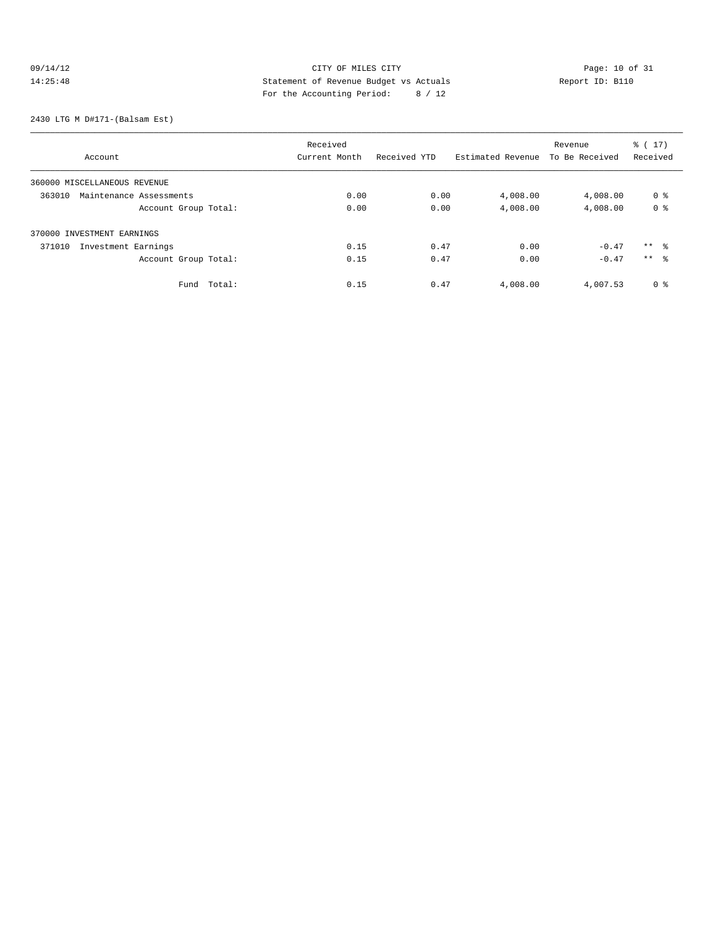# 09/14/12 Page: 10 of 31 14:25:48 Statement of Revenue Budget vs Actuals Report ID: B110<br>Text the Accounting Boxied: Review Report ID: B110 For the Accounting Period: 8 / 12

2430 LTG M D#171-(Balsam Est)

|                                   | Received      |              |                   | Revenue        | $\frac{1}{6}$ (17) |
|-----------------------------------|---------------|--------------|-------------------|----------------|--------------------|
| Account                           | Current Month | Received YTD | Estimated Revenue | To Be Received | Received           |
| 360000 MISCELLANEOUS REVENUE      |               |              |                   |                |                    |
| 363010<br>Maintenance Assessments | 0.00          | 0.00         | 4,008.00          | 4,008.00       | 0 <sup>8</sup>     |
| Account Group Total:              | 0.00          | 0.00         | 4,008.00          | 4,008.00       | 0 <sup>8</sup>     |
| 370000 INVESTMENT EARNINGS        |               |              |                   |                |                    |
| Investment Earnings<br>371010     | 0.15          | 0.47         | 0.00              | $-0.47$        | $***$ 8            |
| Account Group Total:              | 0.15          | 0.47         | 0.00              | $-0.47$        | $***$ 8            |
| Total:<br>Fund                    | 0.15          | 0.47         | 4,008.00          | 4,007.53       | 0 <sup>8</sup>     |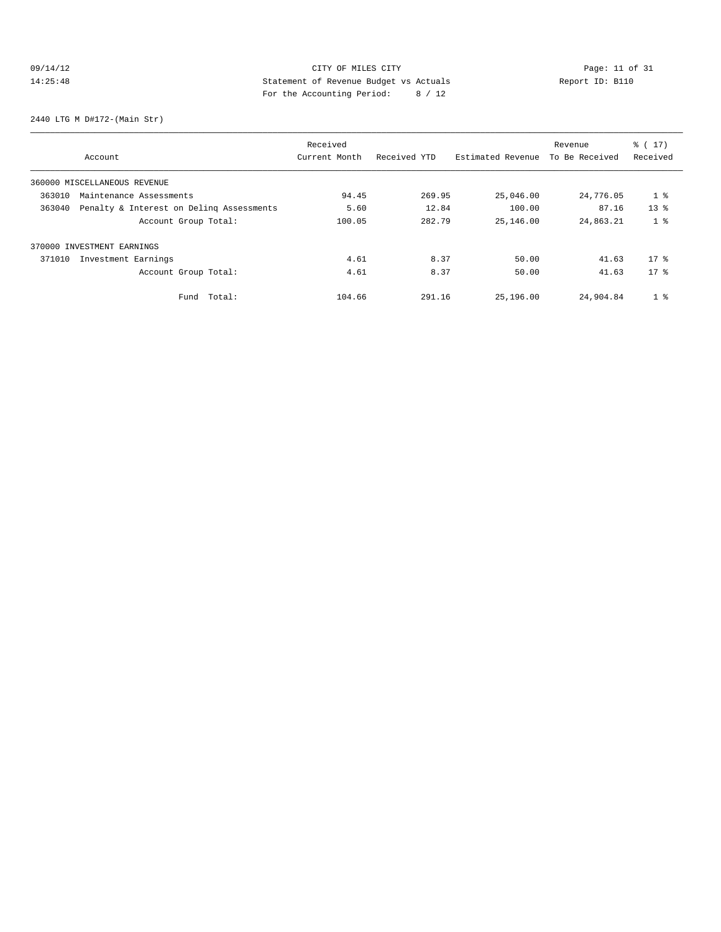# 09/14/12 Page: 11 of 31 14:25:48 Statement of Revenue Budget vs Actuals Report ID: B110 For the Accounting Period: 8 / 12

2440 LTG M D#172-(Main Str)

|                                                    | Received      |              |                   | Revenue        | % (17)         |
|----------------------------------------------------|---------------|--------------|-------------------|----------------|----------------|
| Account                                            | Current Month | Received YTD | Estimated Revenue | To Be Received | Received       |
| 360000 MISCELLANEOUS REVENUE                       |               |              |                   |                |                |
| 363010<br>Maintenance Assessments                  | 94.45         | 269.95       | 25,046.00         | 24,776.05      | 1 <sup>8</sup> |
| Penalty & Interest on Deling Assessments<br>363040 | 5.60          | 12.84        | 100.00            | 87.16          | $13*$          |
| Account Group Total:                               | 100.05        | 282.79       | 25,146.00         | 24,863.21      | 1 <sup>8</sup> |
| 370000 INVESTMENT EARNINGS                         |               |              |                   |                |                |
| 371010<br>Investment Earnings                      | 4.61          | 8.37         | 50.00             | 41.63          | $17*$          |
| Account Group Total:                               | 4.61          | 8.37         | 50.00             | 41.63          | $17*$          |
| Total:<br>Fund                                     | 104.66        | 291.16       | 25,196.00         | 24,904.84      | 1 <sup>8</sup> |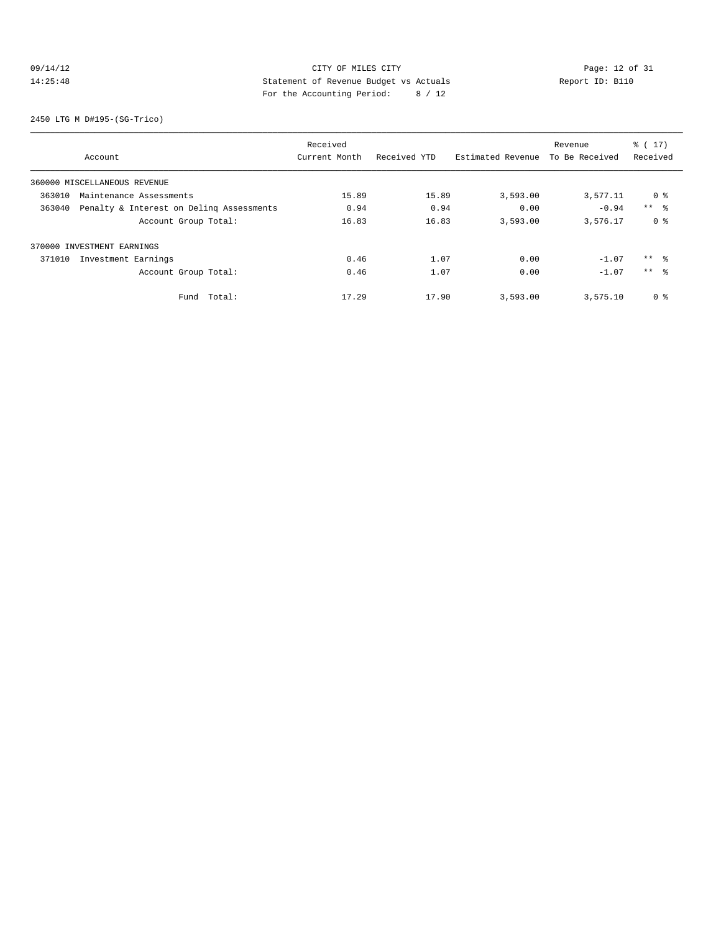# 09/14/12 Page: 12 of 31 14:25:48 Statement of Revenue Budget vs Actuals Report ID: B110<br>Report ID: B110 For the Accounting Period: 8 / 12

2450 LTG M D#195-(SG-Trico)

|                                                    | Received      |              |                   | Revenue        | % (17)          |
|----------------------------------------------------|---------------|--------------|-------------------|----------------|-----------------|
| Account                                            | Current Month | Received YTD | Estimated Revenue | To Be Received | Received        |
| 360000 MISCELLANEOUS REVENUE                       |               |              |                   |                |                 |
| 363010<br>Maintenance Assessments                  | 15.89         | 15.89        | 3,593.00          | 3,577.11       | 0 %             |
| Penalty & Interest on Deling Assessments<br>363040 | 0.94          | 0.94         | 0.00              | $-0.94$        | $***$ $ -$      |
| Account Group Total:                               | 16.83         | 16.83        | 3,593.00          | 3,576.17       | 0 <sup>8</sup>  |
| 370000 INVESTMENT EARNINGS                         |               |              |                   |                |                 |
| 371010<br>Investment Earnings                      | 0.46          | 1.07         | 0.00              | $-1.07$        | $***$ %         |
| Account Group Total:                               | 0.46          | 1.07         | 0.00              | $-1.07$        | $***$ $\approx$ |
| Fund Total:                                        | 17.29         | 17.90        | 3,593.00          | 3,575.10       | 0 <sub>8</sub>  |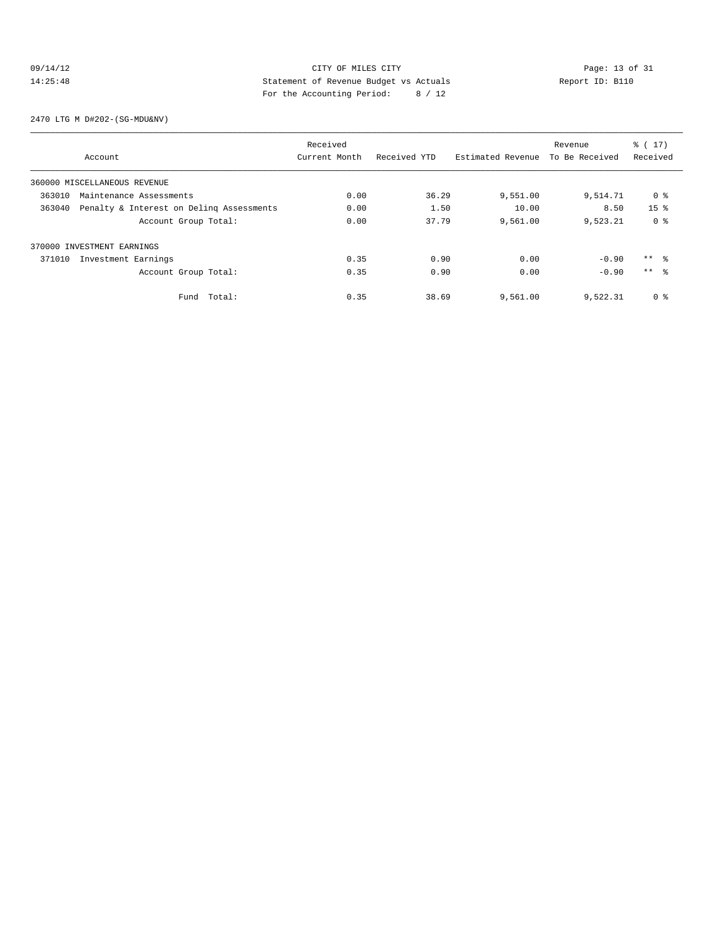# 09/14/12 CITY OF MILES CITY<br>14:25:48 Statement of Revenue Budget vs Actuals<br>For the Accounting Boules of 12 14:25:48 Statement of Revenue Budget vs Actuals Report ID: B110 For the Accounting Period: 8 / 12

2470 LTG M D#202-(SG-MDU&NV)

|        |                                          | Received      |              |                   | Revenue        | % (17)          |
|--------|------------------------------------------|---------------|--------------|-------------------|----------------|-----------------|
|        | Account                                  | Current Month | Received YTD | Estimated Revenue | To Be Received | Received        |
|        | 360000 MISCELLANEOUS REVENUE             |               |              |                   |                |                 |
| 363010 | Maintenance Assessments                  | 0.00          | 36.29        | 9,551.00          | 9,514.71       | 0 %             |
| 363040 | Penalty & Interest on Deling Assessments | 0.00          | 1.50         | 10.00             | 8.50           | 15 <sup>8</sup> |
|        | Account Group Total:                     | 0.00          | 37.79        | 9,561.00          | 9,523.21       | 0 <sup>8</sup>  |
|        | 370000 INVESTMENT EARNINGS               |               |              |                   |                |                 |
| 371010 | Investment Earnings                      | 0.35          | 0.90         | 0.00              | $-0.90$        | $***$ $\approx$ |
|        | Account Group Total:                     | 0.35          | 0.90         | 0.00              | $-0.90$        | $***$ $\approx$ |
|        | Fund Total:                              | 0.35          | 38.69        | 9,561.00          | 9,522.31       | 0 <sup>8</sup>  |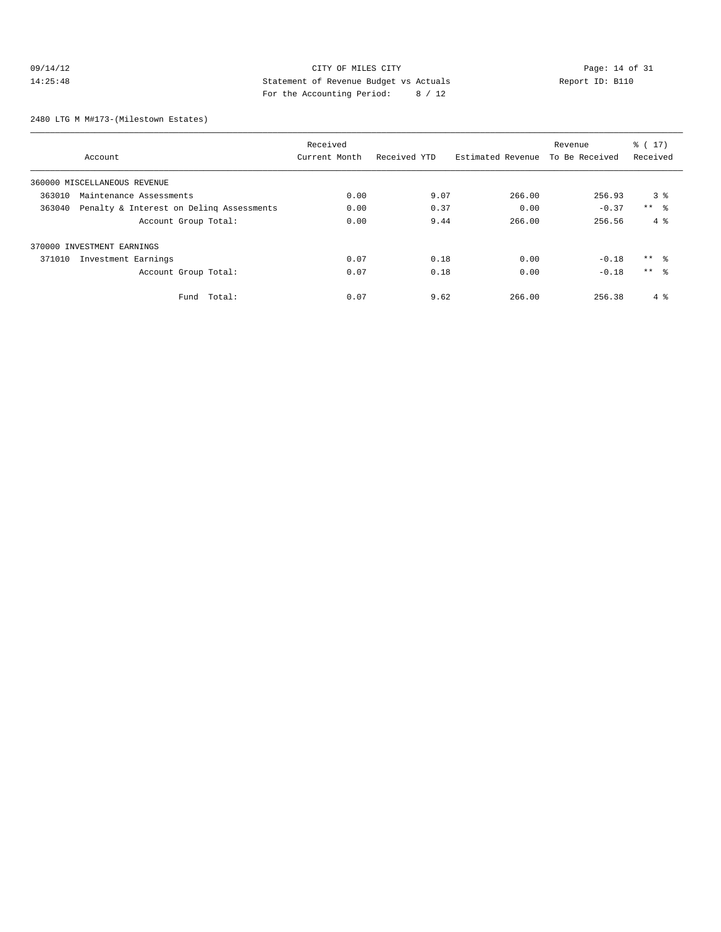# 09/14/12 Page: 14 of 31 14:25:48 Statement of Revenue Budget vs Actuals Report ID: B110 For the Accounting Period: 8 / 12

2480 LTG M M#173-(Milestown Estates)

|                              |                                          | Received      |              |                   | Revenue        | % (17)          |
|------------------------------|------------------------------------------|---------------|--------------|-------------------|----------------|-----------------|
| Account                      |                                          | Current Month | Received YTD | Estimated Revenue | To Be Received | Received        |
| 360000 MISCELLANEOUS REVENUE |                                          |               |              |                   |                |                 |
| 363010                       | Maintenance Assessments                  | 0.00          | 9.07         | 266.00            | 256.93         | 3 <sup>8</sup>  |
| 363040                       | Penalty & Interest on Deling Assessments | 0.00          | 0.37         | 0.00              | $-0.37$        | $***$ $\approx$ |
|                              | Account Group Total:                     | 0.00          | 9.44         | 266.00            | 256.56         | $4\degree$      |
| 370000 INVESTMENT EARNINGS   |                                          |               |              |                   |                |                 |
| 371010                       | Investment Earnings                      | 0.07          | 0.18         | 0.00              | $-0.18$        | $***$ $\approx$ |
|                              | Account Group Total:                     | 0.07          | 0.18         | 0.00              | $-0.18$        | $***$ $\approx$ |
|                              | Total:<br>Fund                           | 0.07          | 9.62         | 266.00            | 256.38         | $4\degree$      |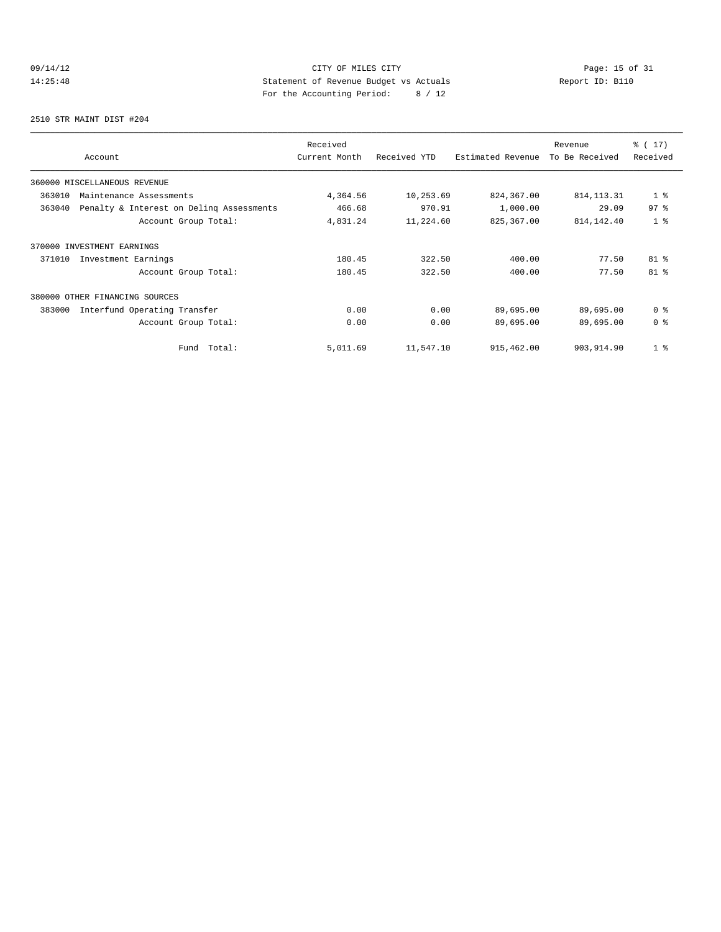# 09/14/12 Page: 15 of 31 14:25:48 Statement of Revenue Budget vs Actuals Report ID: B110<br>Report ID: B110 For the Accounting Period: 8 / 12

2510 STR MAINT DIST #204

| Account                                            | Received<br>Current Month | Received YTD | Estimated Revenue | Revenue<br>To Be Received | % (17)<br>Received |
|----------------------------------------------------|---------------------------|--------------|-------------------|---------------------------|--------------------|
| 360000 MISCELLANEOUS REVENUE                       |                           |              |                   |                           |                    |
| 363010<br>Maintenance Assessments                  | 4,364.56                  | 10,253.69    | 824,367.00        | 814, 113. 31              | $1 \degree$        |
| 363040<br>Penalty & Interest on Deling Assessments | 466.68                    | 970.91       | 1,000.00          | 29.09                     | 97 <sup>°</sup>    |
| Account Group Total:                               | 4,831.24                  | 11,224.60    | 825, 367.00       | 814, 142. 40              | 1 <sup>8</sup>     |
| 370000 INVESTMENT EARNINGS                         |                           |              |                   |                           |                    |
| Investment Earnings<br>371010                      | 180.45                    | 322.50       | 400.00            | 77.50                     | $81$ %             |
| Account Group Total:                               | 180.45                    | 322.50       | 400.00            | 77.50                     | $81$ %             |
| 380000<br>OTHER FINANCING SOURCES                  |                           |              |                   |                           |                    |
| 383000<br>Interfund Operating Transfer             | 0.00                      | 0.00         | 89,695.00         | 89,695.00                 | 0 <sup>8</sup>     |
| Account Group Total:                               | 0.00                      | 0.00         | 89,695.00         | 89,695.00                 | 0 <sup>8</sup>     |
| Total:<br>Fund                                     | 5,011.69                  | 11,547.10    | 915,462.00        | 903, 914.90               | 1 <sup>8</sup>     |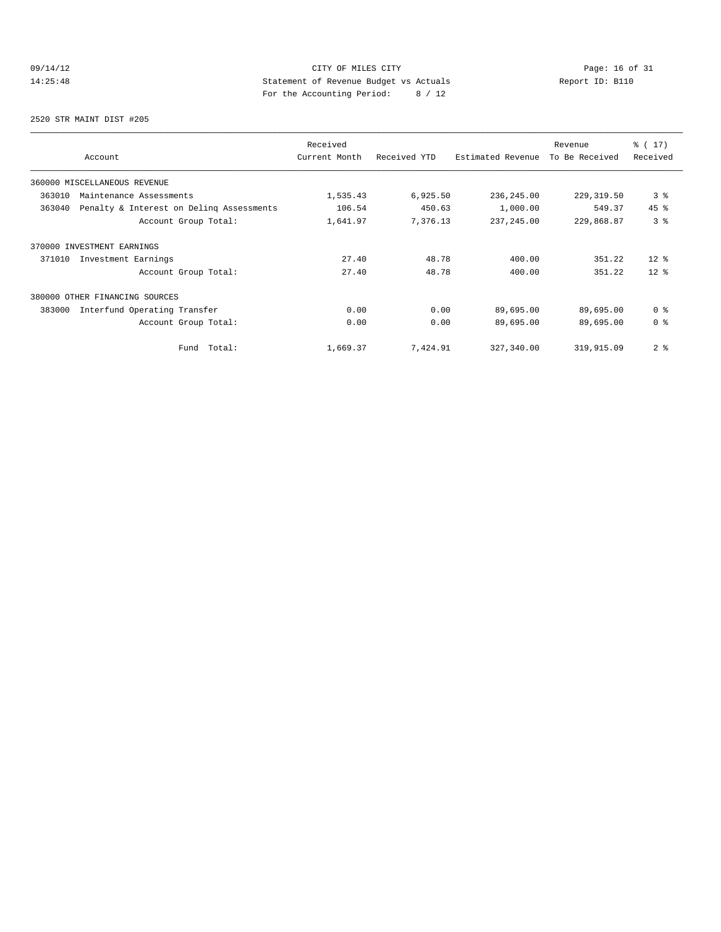# 09/14/12 Page: 16 of 31 14:25:48 Statement of Revenue Budget vs Actuals Report ID: B110<br>Text the Accounting Boxied: Review Report ID: B110 For the Accounting Period: 8 / 12

2520 STR MAINT DIST #205

| Account                                            | Received<br>Current Month | Received YTD | Estimated Revenue | Revenue<br>To Be Received | $\frac{1}{6}$ ( 17)<br>Received |
|----------------------------------------------------|---------------------------|--------------|-------------------|---------------------------|---------------------------------|
| 360000 MISCELLANEOUS REVENUE                       |                           |              |                   |                           |                                 |
| 363010<br>Maintenance Assessments                  | 1,535.43                  | 6,925.50     | 236, 245.00       | 229, 319.50               | 3%                              |
| Penalty & Interest on Deling Assessments<br>363040 | 106.54                    | 450.63       | 1,000.00          | 549.37                    | 45%                             |
| Account Group Total:                               | 1,641.97                  | 7,376.13     | 237, 245.00       | 229,868.87                | 3 <sup>8</sup>                  |
| 370000 INVESTMENT EARNINGS                         |                           |              |                   |                           |                                 |
| 371010<br>Investment Earnings                      | 27.40                     | 48.78        | 400.00            | 351.22                    | $12*$                           |
| Account Group Total:                               | 27.40                     | 48.78        | 400.00            | 351.22                    | $12*$                           |
| 380000 OTHER FINANCING SOURCES                     |                           |              |                   |                           |                                 |
| 383000<br>Interfund Operating Transfer             | 0.00                      | 0.00         | 89,695.00         | 89,695.00                 | 0 <sup>8</sup>                  |
| Account Group Total:                               | 0.00                      | 0.00         | 89,695.00         | 89,695.00                 | 0 <sup>8</sup>                  |
| Total:<br>Fund                                     | 1,669.37                  | 7,424.91     | 327,340.00        | 319,915.09                | 2 <sup>8</sup>                  |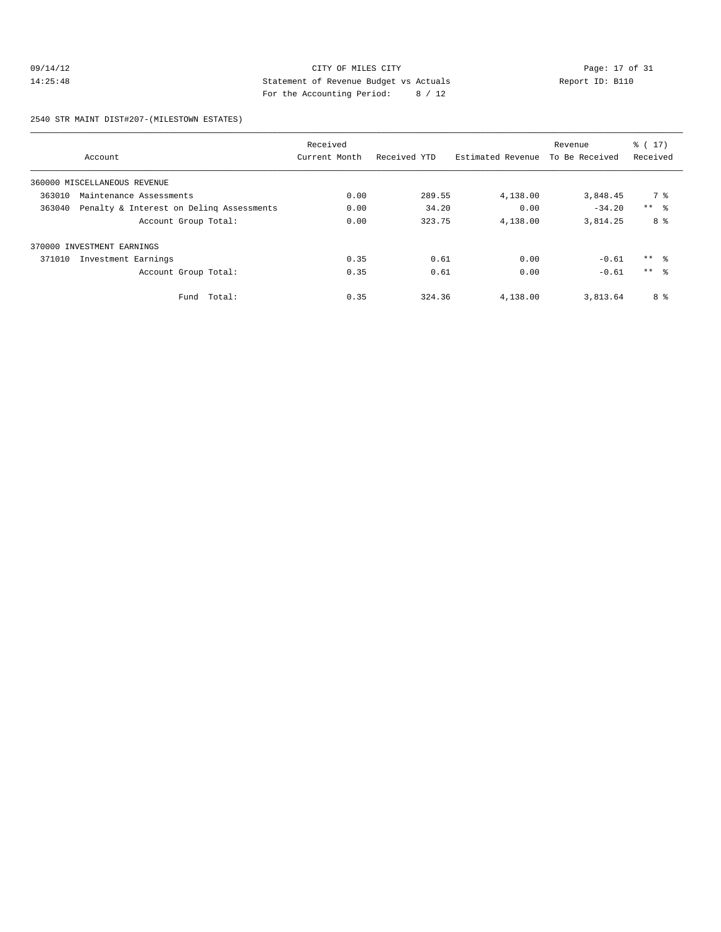# 09/14/12 CITY OF MILES CITY<br>14:25:48 Statement of Revenue Budget vs Actuals<br>For the Accounting Positel (10) Computer of the Accounting Positel (10) Computer (10) Computer (10) Computer (20) 14:25:48 Statement of Revenue Budget vs Actuals Report ID: B110 For the Accounting Period: 8 / 12

2540 STR MAINT DIST#207-(MILESTOWN ESTATES)

|        |                                          | Received      |              |                   | Revenue        | % (17)          |
|--------|------------------------------------------|---------------|--------------|-------------------|----------------|-----------------|
|        | Account                                  | Current Month | Received YTD | Estimated Revenue | To Be Received | Received        |
|        | 360000 MISCELLANEOUS REVENUE             |               |              |                   |                |                 |
| 363010 | Maintenance Assessments                  | 0.00          | 289.55       | 4,138.00          | 3,848.45       | 7 %             |
| 363040 | Penalty & Interest on Deling Assessments | 0.00          | 34.20        | 0.00              | $-34.20$       | $***$ $ -$      |
|        | Account Group Total:                     | 0.00          | 323.75       | 4,138.00          | 3,814.25       | 8 %             |
|        | 370000 INVESTMENT EARNINGS               |               |              |                   |                |                 |
| 371010 | Investment Earnings                      | 0.35          | 0.61         | 0.00              | $-0.61$        | $***$ 8         |
|        | Account Group Total:                     | 0.35          | 0.61         | 0.00              | $-0.61$        | $***$ $\approx$ |
|        | Fund Total:                              | 0.35          | 324.36       | 4,138.00          | 3,813.64       | 8 %             |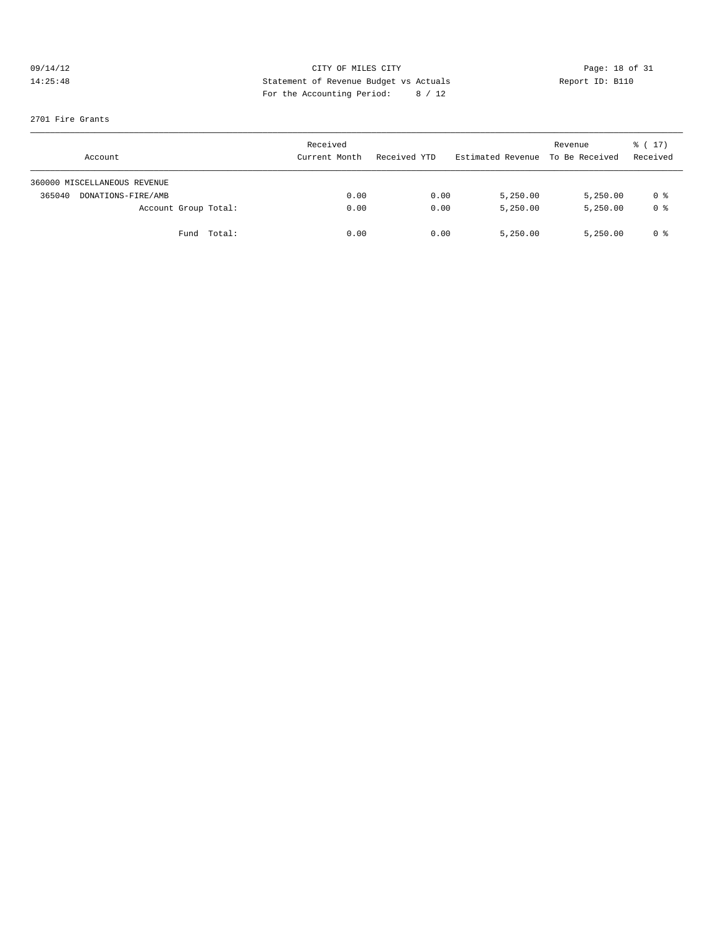# 09/14/12 CITY OF MILES CITY<br>14:25:48 Statement of Revenue Budget vs Actuals<br>For the Accounting Dominal:  $\frac{1}{2}$  (12) Report ID: B110 14:25:48 Statement of Revenue Budget vs Actuals Report ID: B110 For the Accounting Period: 8 / 12

#### 2701 Fire Grants

| Account                      | Received<br>Current Month | Received YTD | Estimated Revenue | Revenue<br>To Be Received | $\frac{1}{6}$ ( 17 )<br>Received |
|------------------------------|---------------------------|--------------|-------------------|---------------------------|----------------------------------|
| 360000 MISCELLANEOUS REVENUE |                           |              |                   |                           |                                  |
| DONATIONS-FIRE/AMB<br>365040 | 0.00                      | 0.00         | 5,250.00          | 5,250.00                  | 0 %                              |
| Account Group Total:         | 0.00                      | 0.00         | 5,250.00          | 5,250.00                  | 0 <sup>8</sup>                   |
| Fund Total:                  | 0.00                      | 0.00         | 5,250.00          | 5,250.00                  | 0 %                              |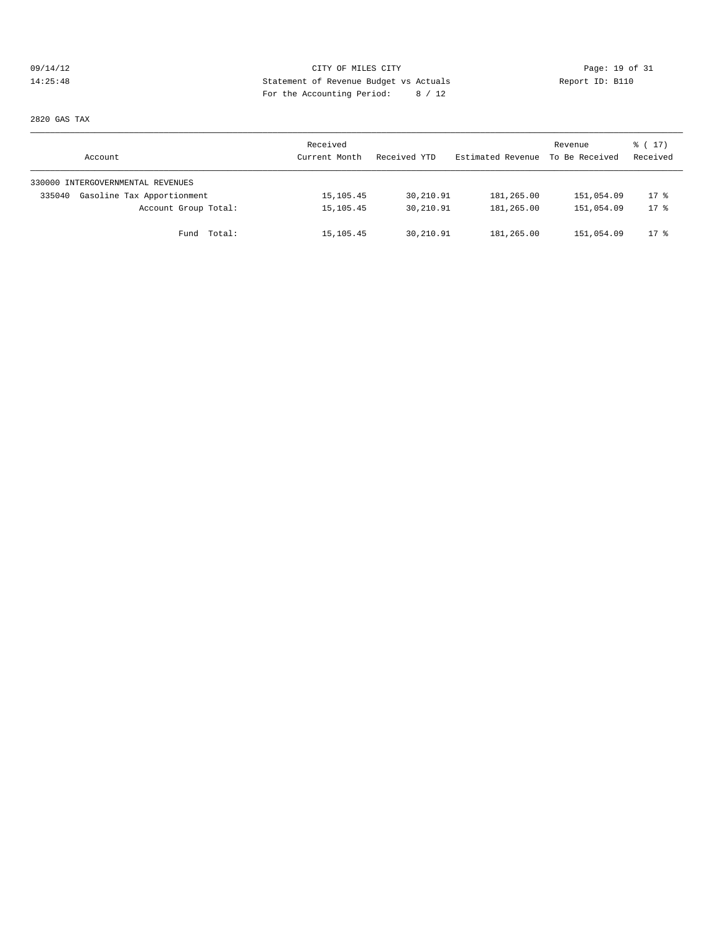# 09/14/12 Page: 19 of 31 14:25:48 Statement of Revenue Budget vs Actuals Report ID: B110 For the Accounting Period: 8 / 12

2820 GAS TAX

| Account                              | Received<br>Current Month | Received YTD | Estimated Revenue | Revenue<br>To Be Received | $\frac{1}{6}$ (17)<br>Received |
|--------------------------------------|---------------------------|--------------|-------------------|---------------------------|--------------------------------|
| 330000 INTERGOVERNMENTAL REVENUES    |                           |              |                   |                           |                                |
| Gasoline Tax Apportionment<br>335040 | 15, 105.45                | 30,210.91    | 181,265.00        | 151,054.09                | $17*$                          |
| Account Group Total:                 | 15, 105.45                | 30,210.91    | 181,265.00        | 151,054.09                | $17*$                          |
| Fund Total:                          | 15,105.45                 | 30,210.91    | 181,265.00        | 151,054.09                | $17*$                          |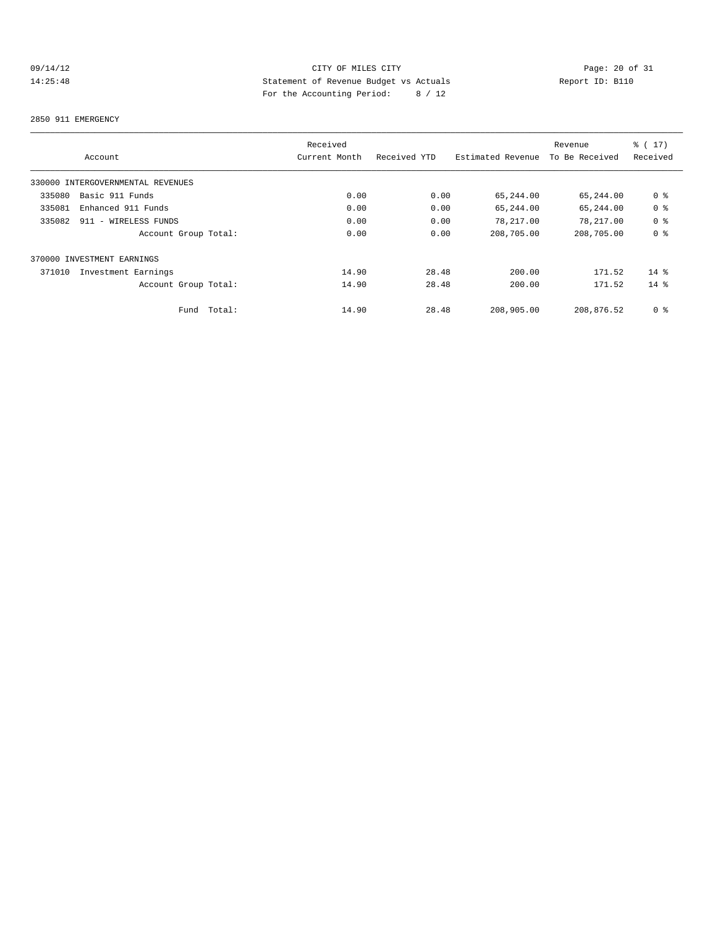# 09/14/12 CITY OF MILES CITY<br>14:25:48 Statement of Revenue Budget vs Actuals<br>For the Accounting Positel (10) Control (10) Report ID: B110 14:25:48 Statement of Revenue Budget vs Actuals Report ID: B110 For the Accounting Period: 8 / 12

#### 2850 911 EMERGENCY

|                                   | Received      |              |                   | Revenue        | ៖ ( 17)        |
|-----------------------------------|---------------|--------------|-------------------|----------------|----------------|
| Account                           | Current Month | Received YTD | Estimated Revenue | To Be Received | Received       |
| 330000 INTERGOVERNMENTAL REVENUES |               |              |                   |                |                |
| Basic 911 Funds<br>335080         | 0.00          | 0.00         | 65,244.00         | 65,244.00      | 0 <sup>8</sup> |
| 335081<br>Enhanced 911 Funds      | 0.00          | 0.00         | 65,244.00         | 65,244.00      | 0 <sup>8</sup> |
| 335082<br>911 - WIRELESS FUNDS    | 0.00          | 0.00         | 78,217.00         | 78,217.00      | 0 <sup>8</sup> |
| Account Group Total:              | 0.00          | 0.00         | 208,705.00        | 208,705.00     | 0 <sup>8</sup> |
| 370000 INVESTMENT EARNINGS        |               |              |                   |                |                |
| 371010<br>Investment Earnings     | 14.90         | 28.48        | 200.00            | 171.52         | $14*$          |
| Account Group Total:              | 14.90         | 28.48        | 200.00            | 171.52         | $14*$          |
| Total:<br>Fund                    | 14.90         | 28.48        | 208,905.00        | 208,876.52     | 0 <sup>8</sup> |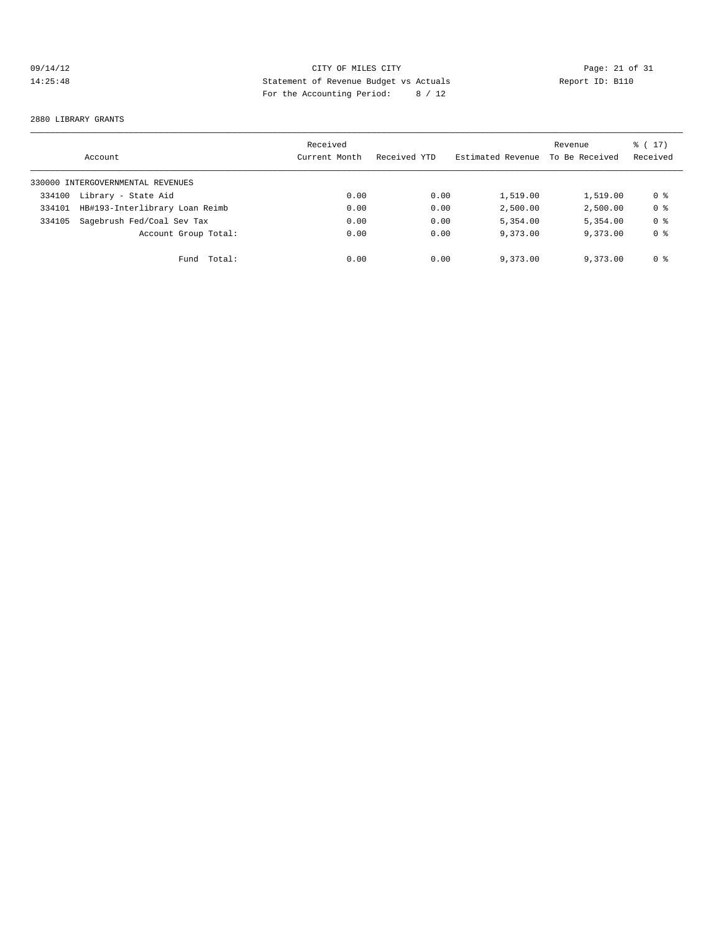# 09/14/12 CITY OF MILES CITY<br>14:25:48 Statement of Revenue Budget vs Actuals<br>For the Accounting Dominal:  $\theta$  / 12 14:25:48 Statement of Revenue Budget vs Actuals Report ID: B110 For the Accounting Period: 8 / 12

#### 2880 LIBRARY GRANTS

|        | Account                           | Received<br>Current Month | Received YTD | Estimated Revenue | Revenue<br>To Be Received | $\frac{1}{6}$ ( 17 )<br>Received |
|--------|-----------------------------------|---------------------------|--------------|-------------------|---------------------------|----------------------------------|
|        | 330000 INTERGOVERNMENTAL REVENUES |                           |              |                   |                           |                                  |
| 334100 | Library - State Aid               | 0.00                      | 0.00         | 1,519.00          | 1,519.00                  | 0 %                              |
| 334101 | HB#193-Interlibrary Loan Reimb    | 0.00                      | 0.00         | 2,500.00          | 2,500.00                  | 0 <sup>8</sup>                   |
| 334105 | Sagebrush Fed/Coal Sev Tax        | 0.00                      | 0.00         | 5,354.00          | 5,354.00                  | 0 <sub>8</sub>                   |
|        | Account Group Total:              | 0.00                      | 0.00         | 9,373.00          | 9,373.00                  | 0 <sub>8</sub>                   |
|        | Total:<br>Fund                    | 0.00                      | 0.00         | 9,373.00          | 9,373.00                  | 0 <sup>8</sup>                   |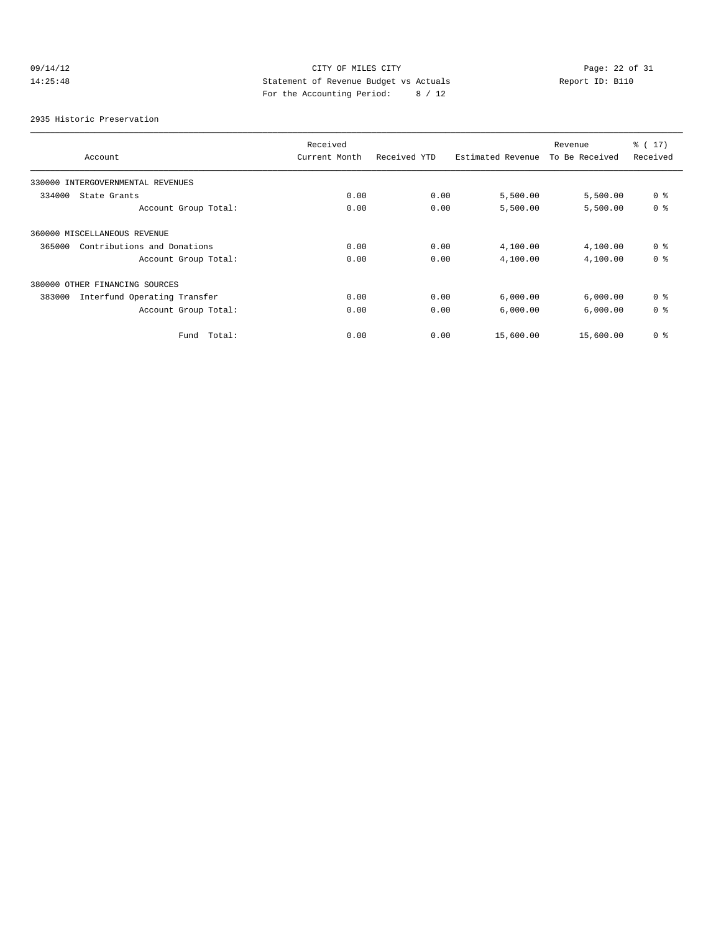# 09/14/12 CITY OF MILES CITY<br>14:25:48 Statement of Revenue Budget vs Actuals<br>14:25:48 Page: 22 of 31<br>For the Aggounting Doriod:  $\theta$  / 12 14:25:48 Statement of Revenue Budget vs Actuals Report ID: B110 For the Accounting Period: 8 / 12

2935 Historic Preservation

|                                        | Received      |              |                   | Revenue        | $\frac{1}{6}$ (17) |
|----------------------------------------|---------------|--------------|-------------------|----------------|--------------------|
| Account                                | Current Month | Received YTD | Estimated Revenue | To Be Received | Received           |
| INTERGOVERNMENTAL REVENUES<br>330000   |               |              |                   |                |                    |
| 334000<br>State Grants                 | 0.00          | 0.00         | 5,500.00          | 5,500.00       | 0 <sup>8</sup>     |
| Account Group Total:                   | 0.00          | 0.00         | 5,500.00          | 5,500.00       | 0 <sup>8</sup>     |
| 360000 MISCELLANEOUS REVENUE           |               |              |                   |                |                    |
| Contributions and Donations<br>365000  | 0.00          | 0.00         | 4,100.00          | 4,100.00       | 0 <sup>8</sup>     |
| Account Group Total:                   | 0.00          | 0.00         | 4,100.00          | 4,100.00       | 0 <sup>8</sup>     |
| 380000 OTHER FINANCING SOURCES         |               |              |                   |                |                    |
| Interfund Operating Transfer<br>383000 | 0.00          | 0.00         | 6,000.00          | 6,000.00       | 0 <sup>8</sup>     |
| Account Group Total:                   | 0.00          | 0.00         | 6,000.00          | 6,000.00       | 0 <sup>8</sup>     |
| Total:<br>Fund                         | 0.00          | 0.00         | 15,600.00         | 15,600.00      | 0 <sup>8</sup>     |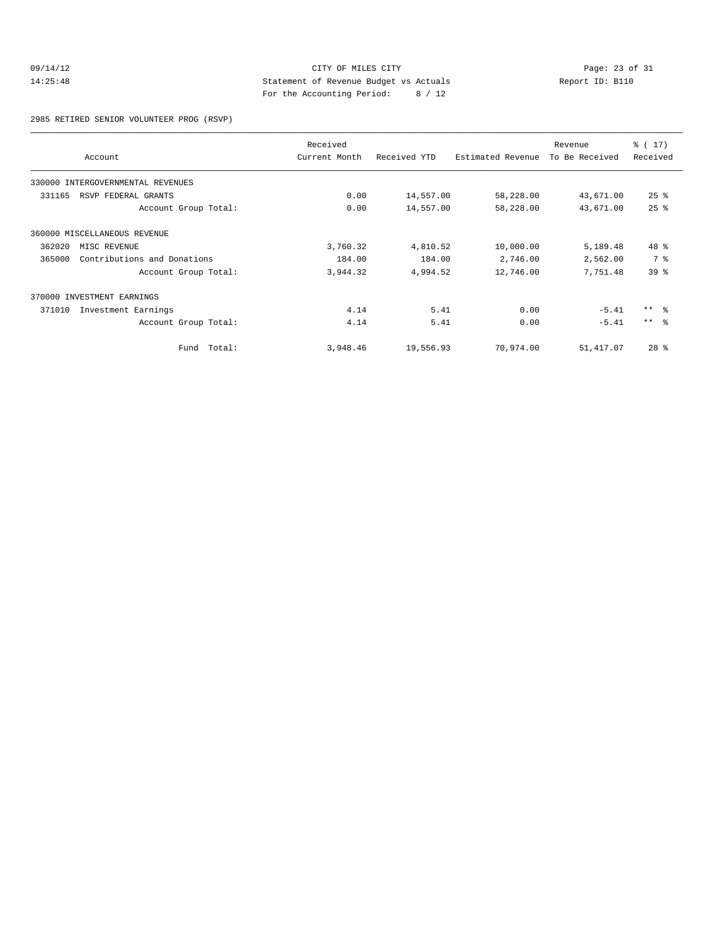#### 09/14/12 CITY OF MILES CITY<br>14:25:48 Statement of Revenue Budget vs Actuals<br>14:25:48 Report ID: B110 14:25:48 Statement of Revenue Budget vs Actuals Report ID: B110 For the Accounting Period: 8 / 12

2985 RETIRED SENIOR VOLUNTEER PROG (RSVP)

|        | Account                           | Received<br>Current Month | Received YTD | Estimated Revenue | Revenue<br>To Be Received | $\frac{1}{6}$ (17)<br>Received |
|--------|-----------------------------------|---------------------------|--------------|-------------------|---------------------------|--------------------------------|
|        | 330000 INTERGOVERNMENTAL REVENUES |                           |              |                   |                           |                                |
| 331165 | RSVP FEDERAL GRANTS               | 0.00                      | 14,557.00    | 58,228.00         | 43,671.00                 | 25%                            |
|        | Account Group Total:              | 0.00                      | 14,557.00    | 58,228.00         | 43,671.00                 | 25%                            |
|        | 360000 MISCELLANEOUS REVENUE      |                           |              |                   |                           |                                |
| 362020 | MISC REVENUE                      | 3,760.32                  | 4,810.52     | 10,000.00         | 5,189.48                  | $48*$                          |
| 365000 | Contributions and Donations       | 184.00                    | 184.00       | 2,746.00          | 2,562.00                  | 7 %                            |
|        | Account Group Total:              | 3,944.32                  | 4,994.52     | 12,746.00         | 7,751.48                  | 39 <sup>8</sup>                |
|        | 370000 INVESTMENT EARNINGS        |                           |              |                   |                           |                                |
| 371010 | Investment Earnings               | 4.14                      | 5.41         | 0.00              | $-5.41$                   | $***$ $\approx$                |
|        | Account Group Total:              | 4.14                      | 5.41         | 0.00              | $-5.41$                   | $***$ $ -$                     |
|        | Total:<br>Fund                    | 3,948.46                  | 19,556.93    | 70,974.00         | 51, 417.07                | $28$ %                         |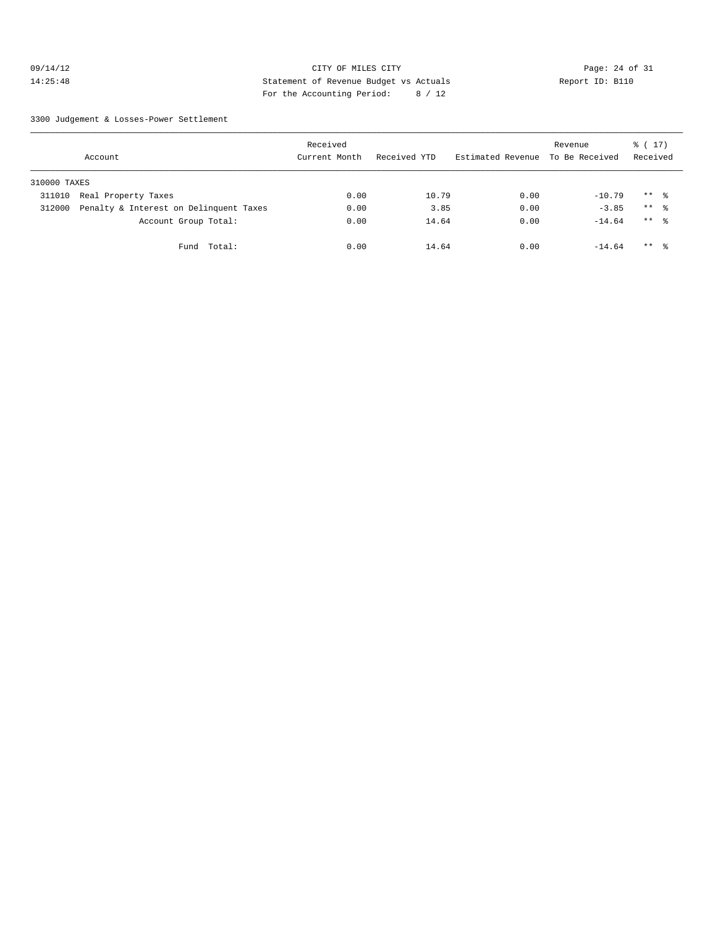#### 09/14/12 Page: 24 of 31 14:25:48 Statement of Revenue Budget vs Actuals Report ID: B110 For the Accounting Period: 8 / 12

3300 Judgement & Losses-Power Settlement

|              | Account                                | Received<br>Current Month | Received YTD | Estimated Revenue | Revenue<br>To Be Received | ៖ ( 17)<br>Received |  |
|--------------|----------------------------------------|---------------------------|--------------|-------------------|---------------------------|---------------------|--|
| 310000 TAXES |                                        |                           |              |                   |                           |                     |  |
| 311010       | Real Property Taxes                    | 0.00                      | 10.79        | 0.00              | $-10.79$                  | $***$ %             |  |
| 312000       | Penalty & Interest on Delinquent Taxes | 0.00                      | 3.85         | 0.00              | $-3.85$                   | $***$ 8             |  |
|              | Account Group Total:                   | 0.00                      | 14.64        | 0.00              | $-14.64$                  | $***$ $\frac{6}{6}$ |  |
|              | Total:<br>Fund                         | 0.00                      | 14.64        | 0.00              | $-14.64$                  | $***$ %             |  |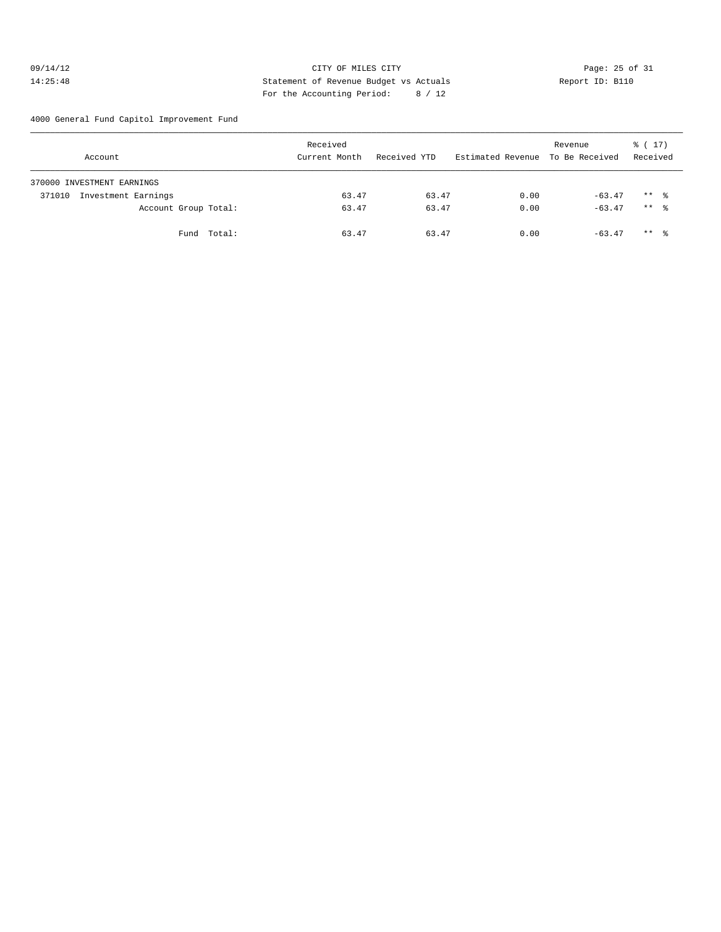#### 09/14/12 Page: 25 of 31 14:25:48 Statement of Revenue Budget vs Actuals Report ID: B110 For the Accounting Period: 8 / 12

4000 General Fund Capitol Improvement Fund

| Account                       | Received<br>Current Month | Received YTD | Estimated Revenue To Be Received | Revenue  | $\frac{1}{6}$ (17)<br>Received |
|-------------------------------|---------------------------|--------------|----------------------------------|----------|--------------------------------|
| 370000 INVESTMENT EARNINGS    |                           |              |                                  |          |                                |
| Investment Earnings<br>371010 | 63.47                     | 63.47        | 0.00                             | $-63.47$ | $***$ $\frac{6}{3}$            |
| Account Group Total:          | 63.47                     | 63.47        | 0.00                             | $-63.47$ | $***$ %                        |
| Fund Total:                   | 63.47                     | 63.47        | 0.00                             | $-63.47$ | $***$ $\frac{6}{3}$            |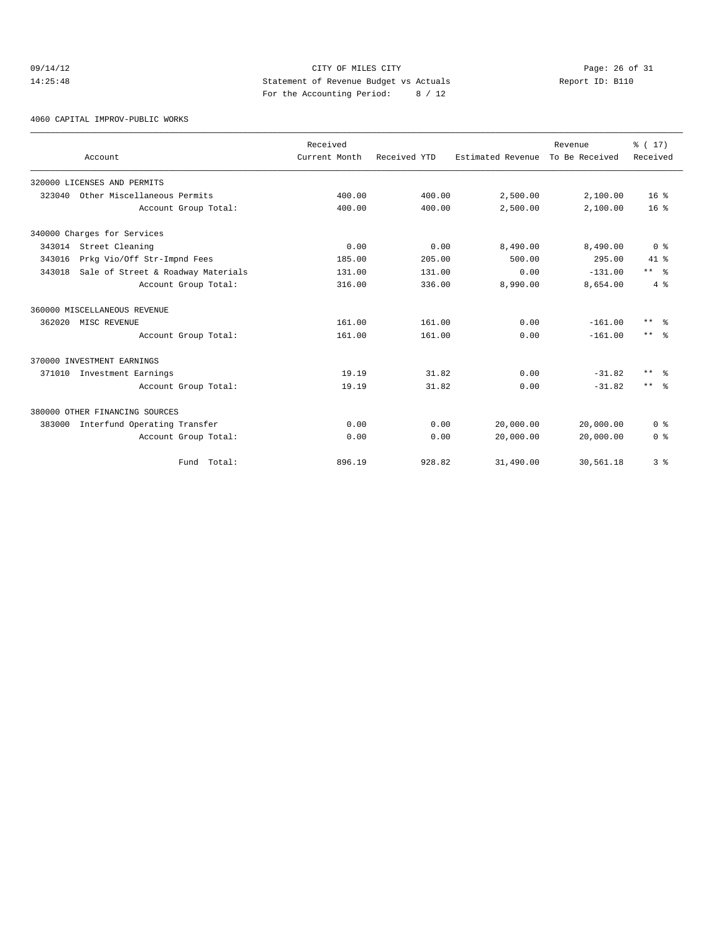# 09/14/12 Page: 26 of 31 14:25:48 Statement of Revenue Budget vs Actuals Report ID: B110 For the Accounting Period: 8 / 12

4060 CAPITAL IMPROV-PUBLIC WORKS

|        |                                    | Received      |              |                   | Revenue        | % (17)          |
|--------|------------------------------------|---------------|--------------|-------------------|----------------|-----------------|
|        | Account                            | Current Month | Received YTD | Estimated Revenue | To Be Received | Received        |
|        | 320000 LICENSES AND PERMITS        |               |              |                   |                |                 |
| 323040 | Other Miscellaneous Permits        | 400.00        | 400.00       | 2,500.00          | 2,100.00       | 16 <sup>8</sup> |
|        | Account Group Total:               | 400.00        | 400.00       | 2,500.00          | 2,100.00       | 16 <sup>8</sup> |
|        | 340000 Charges for Services        |               |              |                   |                |                 |
|        | 343014 Street Cleaning             | 0.00          | 0.00         | 8,490.00          | 8,490.00       | 0 <sup>8</sup>  |
| 343016 | Prkg Vio/Off Str-Impnd Fees        | 185.00        | 205.00       | 500.00            | 295.00         | $41*$           |
| 343018 | Sale of Street & Roadway Materials | 131.00        | 131.00       | 0.00              | $-131.00$      | $***$ $ -$      |
|        | Account Group Total:               | 316.00        | 336.00       | 8,990.00          | 8,654.00       | 4%              |
|        | 360000 MISCELLANEOUS REVENUE       |               |              |                   |                |                 |
| 362020 | MISC REVENUE                       | 161.00        | 161.00       | 0.00              | $-161.00$      | $***$<br>- 옹    |
|        | Account Group Total:               | 161.00        | 161.00       | 0.00              | $-161.00$      | $***$ $ -$      |
|        | 370000 INVESTMENT EARNINGS         |               |              |                   |                |                 |
| 371010 | Investment Earnings                | 19.19         | 31.82        | 0.00              | $-31.82$       | $***$ $\approx$ |
|        | Account Group Total:               | 19.19         | 31.82        | 0.00              | $-31.82$       | $***$ %         |
|        | 380000 OTHER FINANCING SOURCES     |               |              |                   |                |                 |
| 383000 | Interfund Operating Transfer       | 0.00          | 0.00         | 20,000.00         | 20,000.00      | 0 <sup>8</sup>  |
|        | Account Group Total:               | 0.00          | 0.00         | 20,000.00         | 20,000.00      | 0 <sup>8</sup>  |
|        | Fund Total:                        | 896.19        | 928.82       | 31,490.00         | 30,561.18      | 3 <sup>8</sup>  |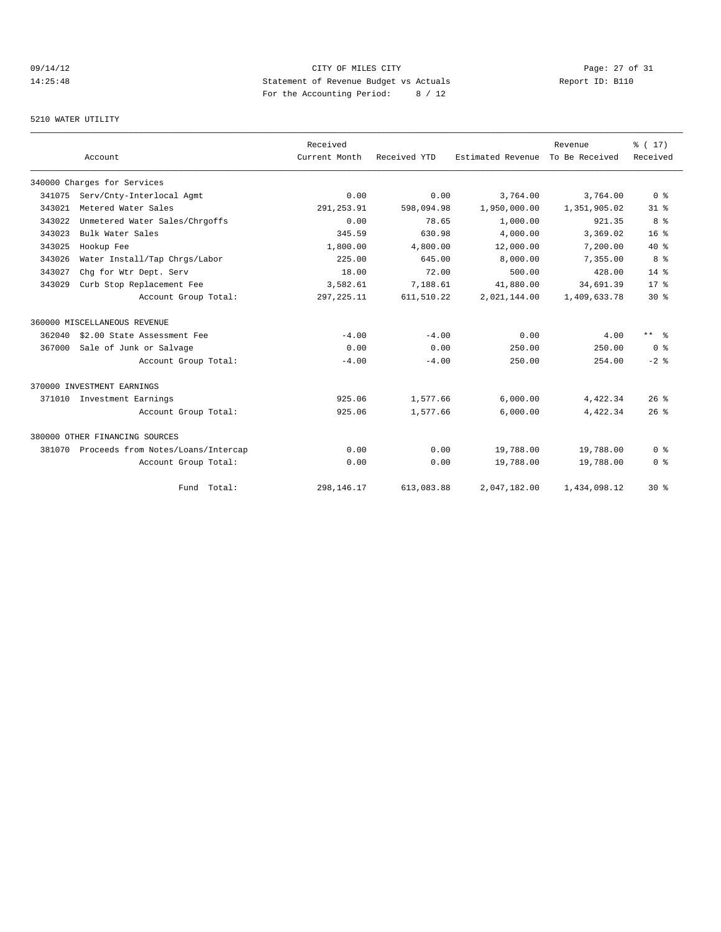# 09/14/12 Page: 27 of 31 14:25:48 Statement of Revenue Budget vs Actuals Report ID: B110 For the Accounting Period: 8 / 12

#### 5210 WATER UTILITY

|        | Account                            | Received<br>Current Month | Received YTD | Estimated Revenue | Revenue<br>To Be Received | % (17)<br>Received      |
|--------|------------------------------------|---------------------------|--------------|-------------------|---------------------------|-------------------------|
|        |                                    |                           |              |                   |                           |                         |
|        | 340000 Charges for Services        |                           |              |                   |                           |                         |
| 341075 | Serv/Cnty-Interlocal Agmt          | 0.00                      | 0.00         | 3,764.00          | 3,764.00                  | 0 <sup>8</sup>          |
| 343021 | Metered Water Sales                | 291, 253.91               | 598,094.98   | 1,950,000.00      | 1,351,905.02              | $31$ $%$                |
| 343022 | Unmetered Water Sales/Chrgoffs     | 0.00                      | 78.65        | 1,000.00          | 921.35                    | 8 %                     |
| 343023 | Bulk Water Sales                   | 345.59                    | 630.98       | 4,000.00          | 3,369.02                  | 16 <sup>8</sup>         |
| 343025 | Hookup Fee                         | 1,800.00                  | 4,800.00     | 12,000.00         | 7,200.00                  | $40*$                   |
| 343026 | Water Install/Tap Chrgs/Labor      | 225.00                    | 645.00       | 8,000.00          | 7,355.00                  | 8 %                     |
| 343027 | Chg for Wtr Dept. Serv             | 18.00                     | 72.00        | 500.00            | 428.00                    | $14*$                   |
| 343029 | Curb Stop Replacement Fee          | 3,582.61                  | 7.188.61     | 41,880.00         | 34,691.39                 | $17*$                   |
|        | Account Group Total:               | 297, 225.11               | 611,510.22   | 2,021,144.00      | 1,409,633.78              | $30*$                   |
|        | 360000 MISCELLANEOUS REVENUE       |                           |              |                   |                           |                         |
| 362040 | \$2.00 State Assessment Fee        | $-4.00$                   | $-4.00$      | 0.00              | 4.00                      | $***$ $ -$              |
| 367000 | Sale of Junk or Salvage            | 0.00                      | 0.00         | 250.00            | 250.00                    | $0 \text{ }$ $\text{ }$ |
|        | Account Group Total:               | $-4.00$                   | $-4.00$      | 250.00            | 254.00                    | $-2$ %                  |
|        | 370000 INVESTMENT EARNINGS         |                           |              |                   |                           |                         |
| 371010 | Investment Earnings                | 925.06                    | 1,577.66     | 6,000.00          | 4,422.34                  | $26$ %                  |
|        | Account Group Total:               | 925.06                    | 1,577.66     | 6,000.00          | 4,422.34                  | 26%                     |
|        | 380000 OTHER FINANCING SOURCES     |                           |              |                   |                           |                         |
| 381070 | Proceeds from Notes/Loans/Intercap | 0.00                      | 0.00         | 19,788.00         | 19,788.00                 | 0 <sup>8</sup>          |
|        | Account Group Total:               | 0.00                      | 0.00         | 19,788.00         | 19,788.00                 | 0 <sup>8</sup>          |
|        | Fund Total:                        | 298, 146. 17              | 613,083.88   | 2,047,182.00      | 1,434,098.12              | $30*$                   |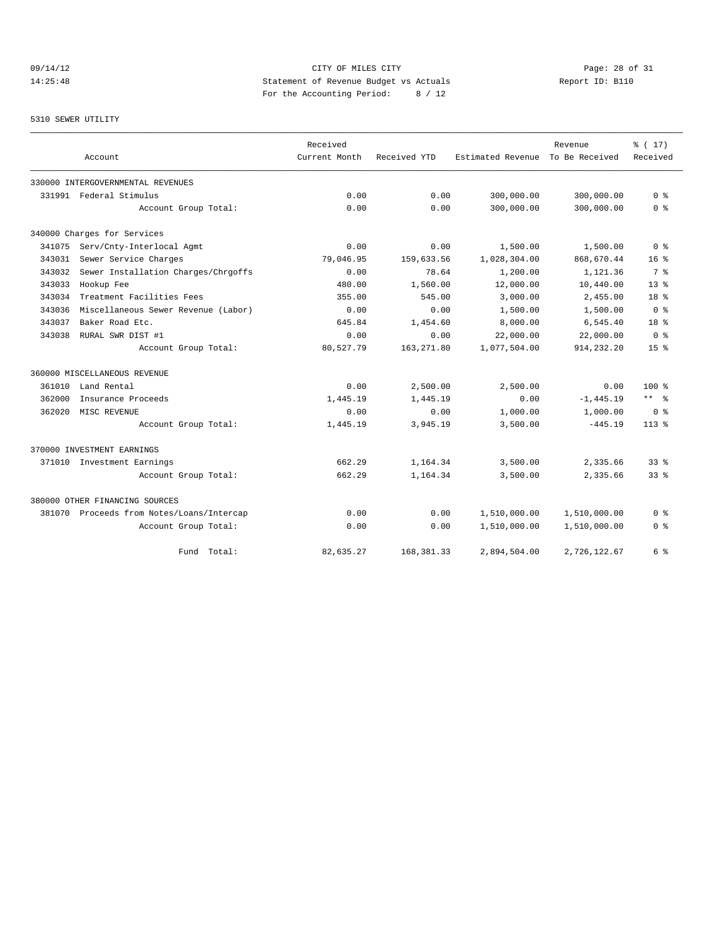# 09/14/12 Page: 28 of 31 14:25:48 Statement of Revenue Budget vs Actuals Report ID: B110 For the Accounting Period: 8 / 12

#### 5310 SEWER UTILITY

|        |                                           | Received      |              |                                  | Revenue      | % (17)          |
|--------|-------------------------------------------|---------------|--------------|----------------------------------|--------------|-----------------|
|        | Account                                   | Current Month | Received YTD | Estimated Revenue To Be Received |              | Received        |
|        | 330000 INTERGOVERNMENTAL REVENUES         |               |              |                                  |              |                 |
|        | 331991 Federal Stimulus                   | 0.00          | 0.00         | 300,000.00                       | 300,000.00   | 0 <sup>8</sup>  |
|        | Account Group Total:                      | 0.00          | 0.00         | 300,000.00                       | 300,000.00   | 0 <sup>8</sup>  |
|        | 340000 Charges for Services               |               |              |                                  |              |                 |
| 341075 | Serv/Cnty-Interlocal Agmt                 | 0.00          | 0.00         | 1,500.00                         | 1,500.00     | 0 <sup>8</sup>  |
| 343031 | Sewer Service Charges                     | 79,046.95     | 159,633.56   | 1,028,304.00                     | 868,670.44   | 16 <sup>8</sup> |
| 343032 | Sewer Installation Charges/Chrgoffs       | 0.00          | 78.64        | 1,200.00                         | 1,121.36     | 7 %             |
| 343033 | Hookup Fee                                | 480.00        | 1,560.00     | 12,000.00                        | 10,440.00    | 13 <sup>8</sup> |
| 343034 | Treatment Facilities Fees                 | 355.00        | 545.00       | 3,000.00                         | 2,455.00     | 18 <sup>8</sup> |
| 343036 | Miscellaneous Sewer Revenue (Labor)       | 0.00          | 0.00         | 1,500.00                         | 1,500.00     | 0 <sup>8</sup>  |
| 343037 | Baker Road Etc.                           | 645.84        | 1,454.60     | 8,000.00                         | 6,545.40     | 18 <sup>8</sup> |
| 343038 | RURAL SWR DIST #1                         | 0.00          | 0.00         | 22,000.00                        | 22,000.00    | 0 <sup>8</sup>  |
|        | Account Group Total:                      | 80,527.79     | 163, 271.80  | 1,077,504.00                     | 914, 232.20  | 15 <sup>8</sup> |
|        | 360000 MISCELLANEOUS REVENUE              |               |              |                                  |              |                 |
| 361010 | Land Rental                               | 0.00          | 2,500.00     | 2,500.00                         | 0.00         | $100*$          |
| 362000 | Insurance Proceeds                        | 1,445.19      | 1,445.19     | 0.00                             | $-1, 445.19$ | $***$ $ -$      |
| 362020 | MISC REVENUE                              | 0.00          | 0.00         | 1,000.00                         | 1,000.00     | 0 <sup>8</sup>  |
|        | Account Group Total:                      | 1,445.19      | 3,945.19     | 3,500.00                         | $-445.19$    | $113*$          |
|        | 370000 INVESTMENT EARNINGS                |               |              |                                  |              |                 |
|        | 371010 Investment Earnings                | 662.29        | 1,164.34     | 3,500.00                         | 2,335.66     | $33*$           |
|        | Account Group Total:                      | 662.29        | 1,164.34     | 3,500.00                         | 2,335.66     | 338             |
|        | 380000 OTHER FINANCING SOURCES            |               |              |                                  |              |                 |
|        | 381070 Proceeds from Notes/Loans/Intercap | 0.00          | 0.00         | 1,510,000.00                     | 1,510,000.00 | 0 %             |
|        | Account Group Total:                      | 0.00          | 0.00         | 1,510,000.00                     | 1,510,000.00 | 0 <sup>8</sup>  |
|        | Total:<br>Fund                            | 82,635.27     | 168, 381. 33 | 2,894,504.00                     | 2,726,122.67 | 6 %             |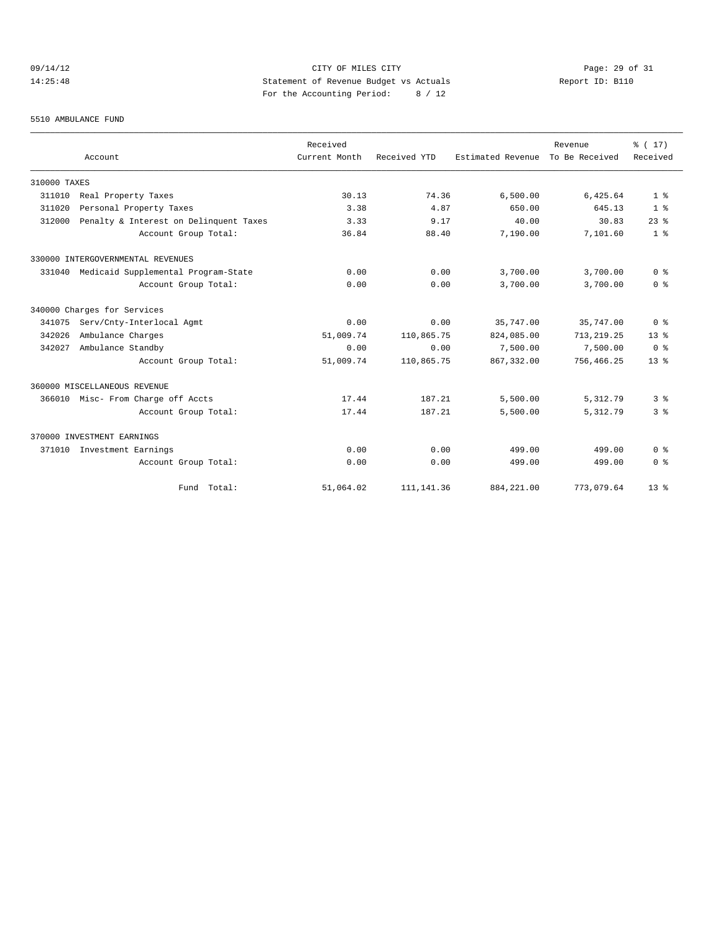# 09/14/12 Page: 29 of 31 14:25:48 Statement of Revenue Budget vs Actuals Report ID: B110 For the Accounting Period: 8 / 12

#### 5510 AMBULANCE FUND

|              | Account                                | Received<br>Current Month | Received YTD | Estimated Revenue | Revenue<br>To Be Received | % (17)<br>Received      |
|--------------|----------------------------------------|---------------------------|--------------|-------------------|---------------------------|-------------------------|
|              |                                        |                           |              |                   |                           |                         |
| 310000 TAXES |                                        |                           |              |                   |                           |                         |
| 311010       | Real Property Taxes                    | 30.13                     | 74.36        | 6,500.00          | 6,425.64                  | 1 <sup>8</sup>          |
| 311020       | Personal Property Taxes                | 3.38                      | 4.87         | 650.00            | 645.13                    | 1 <sup>8</sup>          |
| 312000       | Penalty & Interest on Delinquent Taxes | 3.33                      | 9.17         | 40.00             | 30.83                     | $23$ $%$                |
|              | Account Group Total:                   | 36.84                     | 88.40        | 7,190.00          | 7,101.60                  | 1 <sup>8</sup>          |
|              | 330000 INTERGOVERNMENTAL REVENUES      |                           |              |                   |                           |                         |
| 331040       | Medicaid Supplemental Program-State    | 0.00                      | 0.00         | 3,700.00          | 3,700.00                  | 0 <sup>8</sup>          |
|              | Account Group Total:                   | 0.00                      | 0.00         | 3,700.00          | 3,700.00                  | 0 <sup>8</sup>          |
|              | 340000 Charges for Services            |                           |              |                   |                           |                         |
| 341075       | Serv/Cnty-Interlocal Agmt              | 0.00                      | 0.00         | 35,747.00         | 35,747.00                 | 0 <sup>8</sup>          |
| 342026       | Ambulance Charges                      | 51,009.74                 | 110,865.75   | 824,085.00        | 713, 219.25               | 13 <sup>8</sup>         |
| 342027       | Ambulance Standby                      | 0.00                      | 0.00         | 7,500.00          | 7,500.00                  | $0 \text{ }$ $\text{ }$ |
|              | Account Group Total:                   | 51,009.74                 | 110,865.75   | 867, 332.00       | 756,466.25                | 13 <sup>8</sup>         |
|              | 360000 MISCELLANEOUS REVENUE           |                           |              |                   |                           |                         |
|              | 366010 Misc- From Charge off Accts     | 17.44                     | 187.21       | 5,500.00          | 5,312.79                  | 3%                      |
|              | Account Group Total:                   | 17.44                     | 187.21       | 5,500.00          | 5,312.79                  | 3 <sup>8</sup>          |
|              | 370000 INVESTMENT EARNINGS             |                           |              |                   |                           |                         |
| 371010       | Investment Earnings                    | 0.00                      | 0.00         | 499.00            | 499.00                    | 0 <sup>8</sup>          |
|              | Account Group Total:                   | 0.00                      | 0.00         | 499.00            | 499.00                    | 0 <sup>8</sup>          |
|              | Fund Total:                            | 51,064.02                 | 111, 141.36  | 884, 221.00       | 773,079.64                | $13*$                   |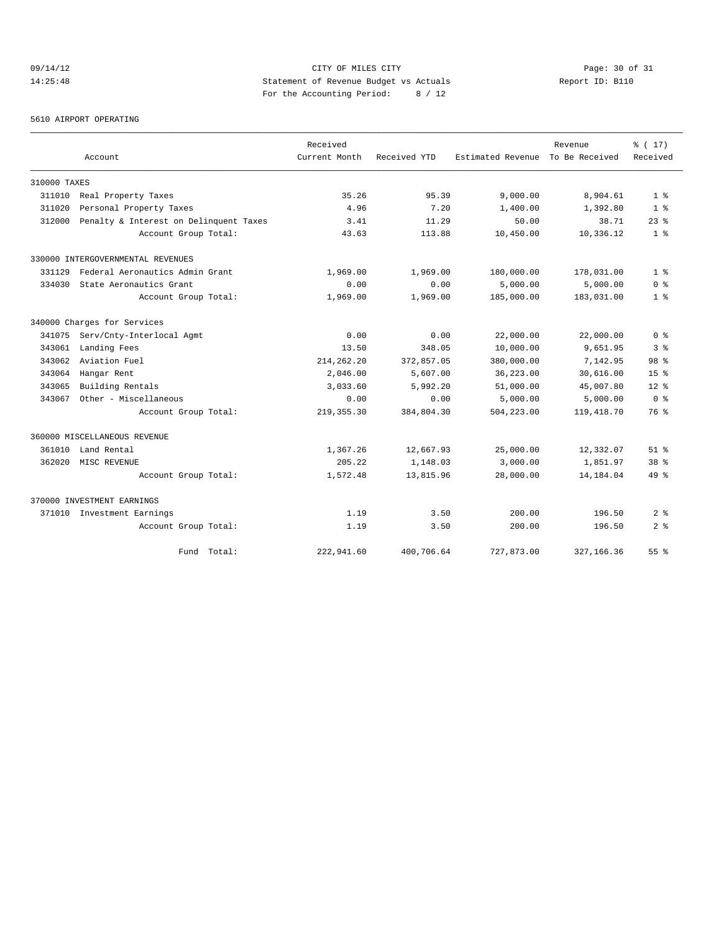# 09/14/12 Page: 30 of 31 14:25:48 Statement of Revenue Budget vs Actuals Report ID: B110<br>Report ID: B110 For the Accounting Period: 8 / 12

5610 AIRPORT OPERATING

|              |                                        | Received      |              |                   | Revenue        | % (17)          |
|--------------|----------------------------------------|---------------|--------------|-------------------|----------------|-----------------|
|              | Account                                | Current Month | Received YTD | Estimated Revenue | To Be Received | Received        |
| 310000 TAXES |                                        |               |              |                   |                |                 |
| 311010       | Real Property Taxes                    | 35.26         | 95.39        | 9,000.00          | 8,904.61       | 1 <sup>8</sup>  |
| 311020       | Personal Property Taxes                | 4.96          | 7.20         | 1,400.00          | 1,392.80       | 1 <sup>°</sup>  |
| 312000       | Penalty & Interest on Delinquent Taxes | 3.41          | 11.29        | 50.00             | 38.71          | $23$ $%$        |
|              | Account Group Total:                   | 43.63         | 113.88       | 10,450.00         | 10,336.12      | 1 <sup>8</sup>  |
|              | 330000 INTERGOVERNMENTAL REVENUES      |               |              |                   |                |                 |
| 331129       | Federal Aeronautics Admin Grant        | 1,969.00      | 1,969.00     | 180,000.00        | 178,031.00     | 1 <sup>8</sup>  |
| 334030       | State Aeronautics Grant                | 0.00          | 0.00         | 5,000.00          | 5,000.00       | 0 <sup>8</sup>  |
|              | Account Group Total:                   | 1,969.00      | 1,969.00     | 185,000.00        | 183,031.00     | 1 <sup>8</sup>  |
|              | 340000 Charges for Services            |               |              |                   |                |                 |
|              | 341075 Serv/Cnty-Interlocal Agmt       | 0.00          | 0.00         | 22,000.00         | 22,000.00      | 0 <sup>8</sup>  |
| 343061       | Landing Fees                           | 13.50         | 348.05       | 10,000.00         | 9,651.95       | 3 <sup>8</sup>  |
| 343062       | Aviation Fuel                          | 214, 262.20   | 372,857.05   | 380,000.00        | 7,142.95       | 98 <sup>°</sup> |
| 343064       | Hangar Rent                            | 2,046.00      | 5,607.00     | 36,223.00         | 30,616.00      | 15 <sup>8</sup> |
| 343065       | Building Rentals                       | 3,033.60      | 5,992.20     | 51,000.00         | 45,007.80      | $12*$           |
| 343067       | Other - Miscellaneous                  | 0.00          | 0.00         | 5,000.00          | 5,000.00       | 0 <sup>8</sup>  |
|              | Account Group Total:                   | 219, 355.30   | 384,804.30   | 504,223.00        | 119,418.70     | 76 %            |
|              | 360000 MISCELLANEOUS REVENUE           |               |              |                   |                |                 |
| 361010       | Land Rental                            | 1,367.26      | 12,667.93    | 25,000.00         | 12,332.07      | $51$ $%$        |
| 362020       | MISC REVENUE                           | 205.22        | 1,148.03     | 3,000.00          | 1,851.97       | 38 <sup>8</sup> |
|              | Account Group Total:                   | 1,572.48      | 13,815.96    | 28,000.00         | 14,184.04      | 49.8            |
|              | 370000 INVESTMENT EARNINGS             |               |              |                   |                |                 |
|              | 371010 Investment Earnings             | 1.19          | 3.50         | 200.00            | 196.50         | 2 <sup>8</sup>  |
|              | Account Group Total:                   | 1.19          | 3.50         | 200.00            | 196.50         | 2 <sup>8</sup>  |
|              | Fund Total:                            | 222,941.60    | 400,706.64   | 727,873.00        | 327,166.36     | 55 <sup>8</sup> |